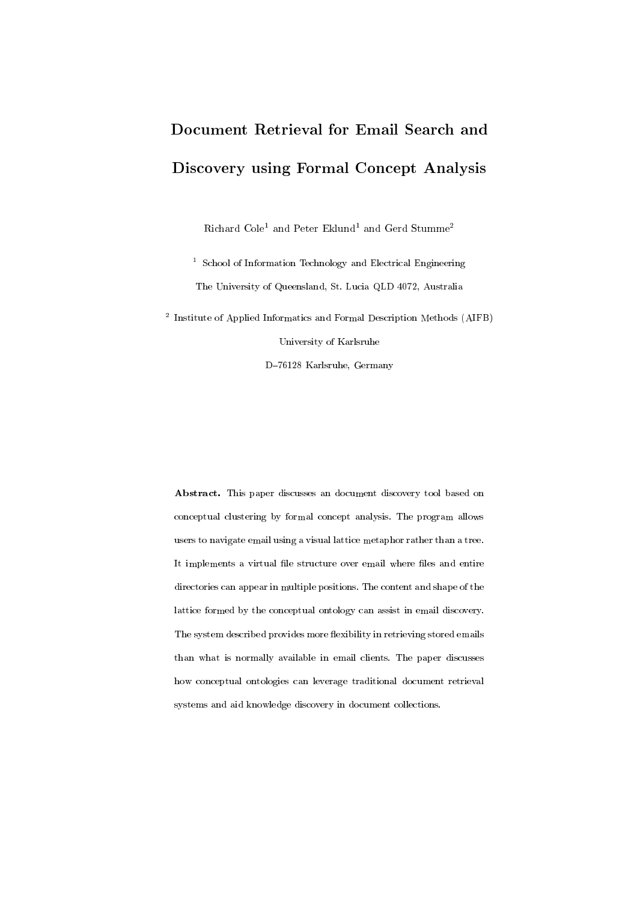# Document Retrieval for Email Search and Discovery using Formal Concept Analysis

Richard Cole<sup>1</sup> and Peter Eklund<sup>1</sup> and Gerd Stumme<sup>2</sup>

<sup>1</sup> School of Information Technology and Electrical Engineering The University of Queensland, St. Lucia QLD 4072, Australia

<sup>2</sup> Institute of Applied Informatics and Formal Description Methods (AIFB)

University of Karlsruhe

D-76128 Karlsruhe, Germany

Abstract. This paper discusses an document discovery tool based on conceptual clustering by formal concept analysis. The program allows users to navigate email using a visual lattice metaphor rather than a tree. It implements a virtual file structure over email where files and entire directories can appear in multiple positions. The content and shape of the lattice formed by the conceptual ontology can assist in email discovery. The system described provides more flexibility in retrieving stored emails than what is normally available in email clients. The paper discusses how conceptual ontologies can leverage traditional document retrieval systems and aid knowledge discovery in document collections.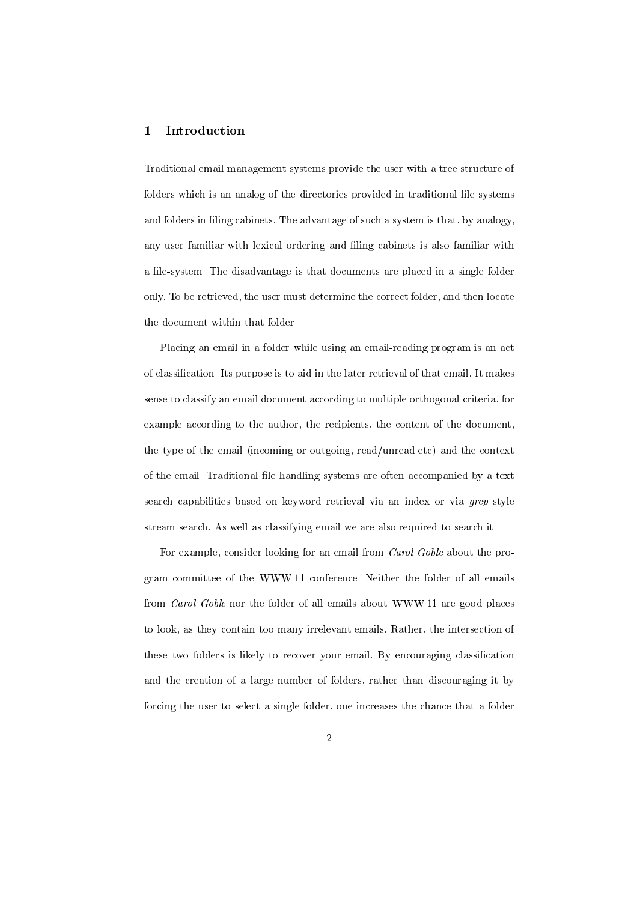# 1 Introduction

Traditional email management systems provide the user with a tree structure of folders which is an analog of the directories provided in traditional file systems and folders in filing cabinets. The advantage of such a system is that, by analogy, any user familiar with lexical ordering and filing cabinets is also familiar with a file-system. The disadvantage is that documents are placed in a single folder only. To be retrieved, the user must determine the correct folder, and then locate the document within that folder.

Placing an email in a folder while using an email-reading program is an act of classication. Its purpose is to aid in the later retrieval of that email. It makes sense to classify an email document according to multiple orthogonal criteria, for example according to the author, the recipients, the content of the document, the type of the email (incoming or outgoing, read/unread etc) and the context of the email. Traditional file handling systems are often accompanied by a text search capabilities based on keyword retrieval via an index or via grep style stream search. As well as classifying email we are also required to search it.

For example, consider looking for an email from Carol Goble about the program committee of the WWW 11 conference. Neither the folder of all emails from Carol Goble nor the folder of all emails about WWW 11 are good places to look, as they contain too many irrelevant emails. Rather, the intersection of these two folders is likely to recover your email. By encouraging classification and the creation of a large number of folders, rather than discouraging it by forcing the user to select a single folder, one increases the chance that a folder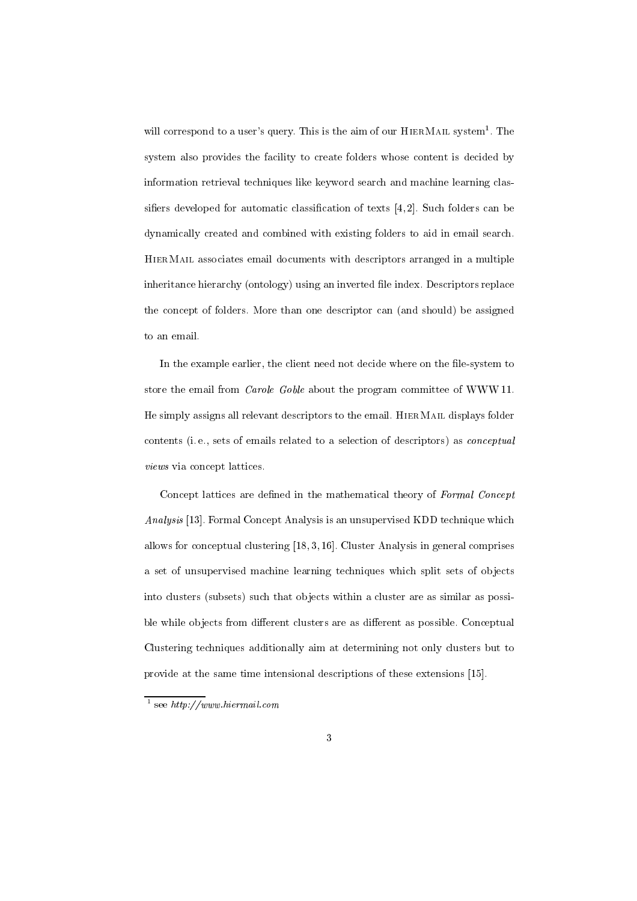will correspond to a user's query. This is the aim of our  $HIERM$ AIL system<sup>1</sup>. The system also provides the facility to create folders whose content is decided by information retrieval techniques like keyword search and machine learning classifiers developed for automatic classification of texts  $[4,2]$ . Such folders can be dynamically created and combined with existing folders to aid in email search. HierMail associates email documents with descriptors arranged in a multiple inheritance hierarchy (ontology) using an inverted file index. Descriptors replace the concept of folders. More than one descriptor can (and should) be assigned to an email.

In the example earlier, the client need not decide where on the file-system to store the email from Carole Goble about the program committee of WWW 11. He simply assigns all relevant descriptors to the email. HierMail displays folder contents (i. e., sets of emails related to a selection of descriptors) as conceptual views via concept lattices.

Concept lattices are defined in the mathematical theory of Formal Concept Analysis [13]. Formal Concept Analysis is an unsupervised KDD technique which allows for conceptual clustering [18, 3, 16]. Cluster Analysis in general comprises a set of unsupervised machine learning techniques which split sets of objects into clusters (subsets) such that ob jects within a cluster are as similar as possible while objects from different clusters are as different as possible. Conceptual Clustering techniques additionally aim at determining not only clusters but to provide at the same time intensional descriptions of these extensions [15].

<sup>1</sup> see http://www.hiermail.com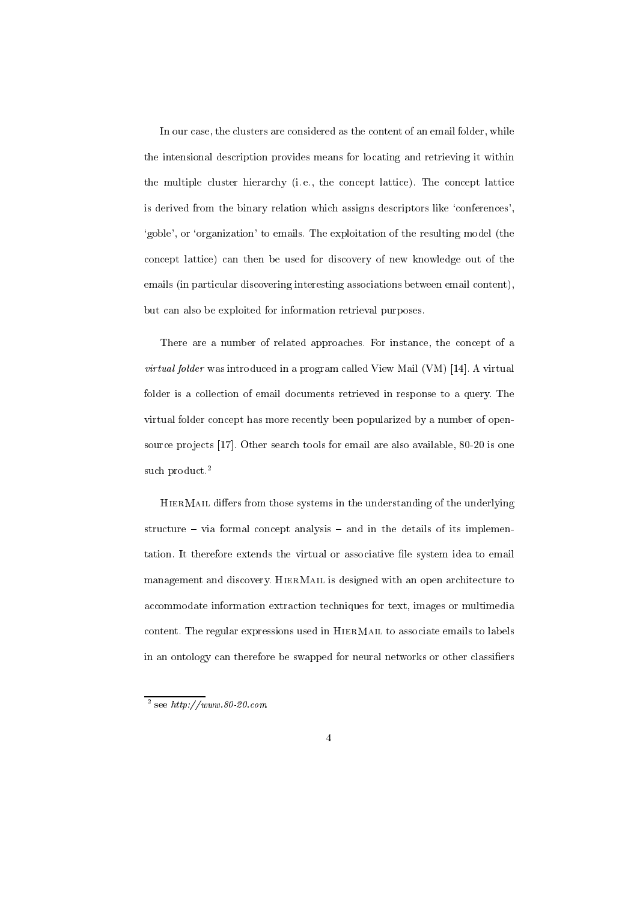In our case, the clusters are considered as the content of an email folder, while the intensional description provides means for locating and retrieving it within the multiple cluster hierarchy (i. e., the concept lattice). The concept lattice is derived from the binary relation which assigns descriptors like 'conferences', `goble', or `organization' to emails. The exploitation of the resulting model (the concept lattice) can then be used for discovery of new knowledge out of the emails (in particular discovering interesting associations between email content), but can also be exploited for information retrieval purposes.

There are a number of related approaches. For instance, the concept of a virtual folder was introduced in a program called View Mail (VM) [14]. A virtual folder is a collection of email documents retrieved in response to a query. The virtual folder concept has more recently been popularized by a number of opensource projects [17]. Other search tools for email are also available, 80-20 is one such product.<sup>2</sup>

HIERMAIL differs from those systems in the understanding of the underlying structure  $-$  via formal concept analysis  $-$  and in the details of its implementation. It therefore extends the virtual or associative file system idea to email management and discovery. HierMail is designed with an open architecture to accommodate information extraction techniques for text, images or multimedia content. The regular expressions used in HierMail to associate emails to labels in an ontology can therefore be swapped for neural networks or other classifiers

<sup>2</sup> see http://www.80-20.com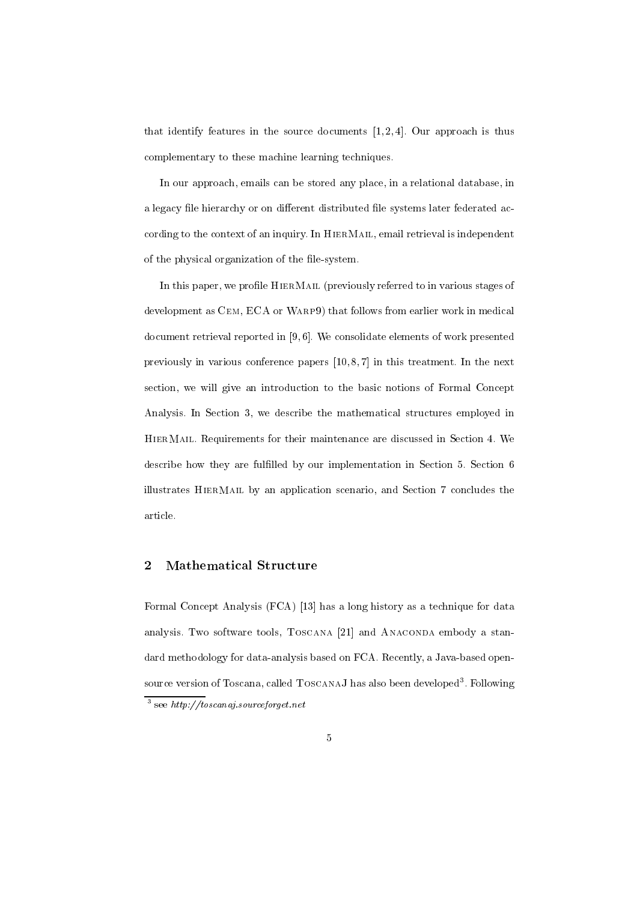that identify features in the source documents  $[1, 2, 4]$ . Our approach is thus complementary to these machine learning techniques.

In our approach, emails can be stored any place, in a relational database, in a legacy file hierarchy or on different distributed file systems later federated according to the context of an inquiry. In HierMail, email retrieval is independent of the physical organization of the file-system.

In this paper, we profile HIERMAIL (previously referred to in various stages of development as Cem, ECA or Warp9) that follows from earlier work in medical document retrieval reported in [9, 6]. We consolidate elements of work presented previously in various conference papers [10, 8, 7] in this treatment. In the next section, we will give an introduction to the basic notions of Formal Concept Analysis. In Section 3, we describe the mathematical structures employed in HierMail. Requirements for their maintenance are discussed in Section 4. We describe how they are fullled by our implementation in Section 5. Section 6 illustrates HierMail by an application scenario, and Section 7 concludes the article.

# 2 Mathematical Structure

Formal Concept Analysis (FCA) [13] has a long history as a technique for data analysis. Two software tools, TOSCANA [21] and ANACONDA embody a standard methodology for data-analysis based on FCA. Recently, a Java-based opensource version of Toscana, called ToscanaJ has also been developed". Following <sup>3</sup> see http://toscanaj.sourceforget.net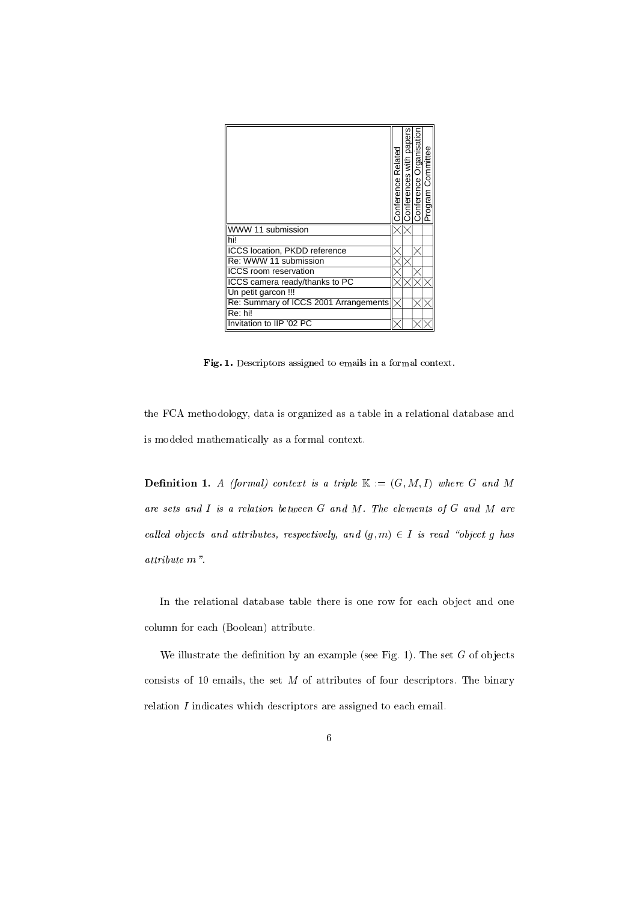|                                       | Conference Related | Conferences with papers | Conference Organisation | Program Committee |
|---------------------------------------|--------------------|-------------------------|-------------------------|-------------------|
| WWW 11 submission                     |                    |                         |                         |                   |
| hi!                                   |                    |                         |                         |                   |
| ICCS location, PKDD reference         |                    |                         |                         |                   |
| Re: WWW 11 submission                 |                    |                         |                         |                   |
| <b>ICCS</b> room reservation          |                    |                         |                         |                   |
| ICCS camera ready/thanks to PC        |                    |                         |                         |                   |
| Un petit garcon !!!                   |                    |                         |                         |                   |
| Re: Summary of ICCS 2001 Arrangements |                    |                         |                         |                   |
| Re: hi!                               |                    |                         |                         |                   |
| Invitation to IIP '02 PC              |                    |                         |                         |                   |

Fig. 1. Descriptors assigned to emails in a formal context.

the FCA methodology, data is organized as a table in a relational database and is modeled mathematically as a formal context.

**Definition 1.** A (formal) context is a triple  $\mathbb{K} := (G, M, I)$  where G and M are sets and  $I$  is a relation between  $G$  and  $M$ . The elements of  $G$  and  $M$  are called objects and attributes, respectively, and  $(g, m) \in I$  is read "object g has attribute m".

In the relational database table there is one row for each object and one column for each (Boolean) attribute.

We illustrate the definition by an example (see Fig. 1). The set  $G$  of objects consists of 10 emails, the set  $M$  of attributes of four descriptors. The binary relation I indicates which descriptors are assigned to each email.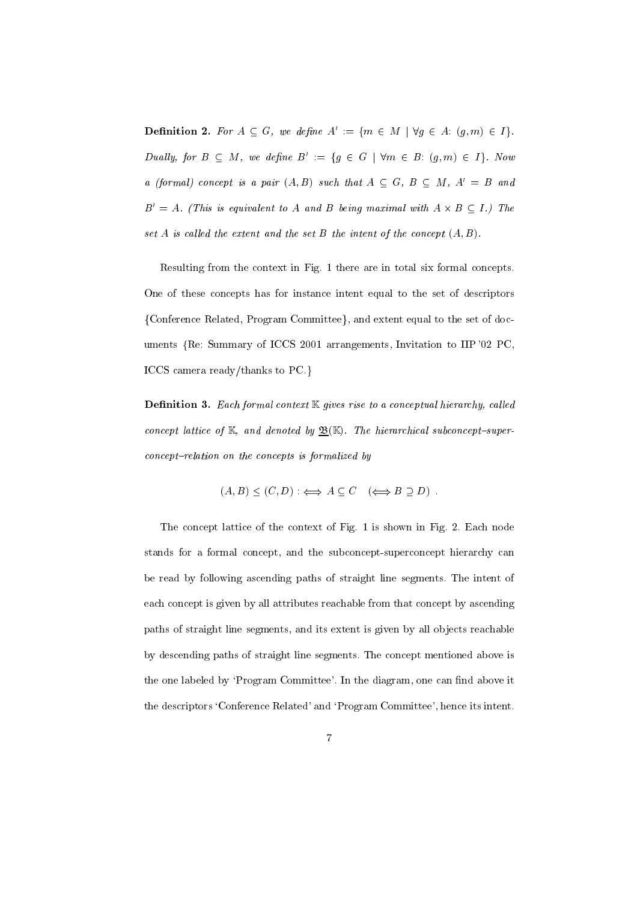**Definition 2.** For  $A \subseteq G$ , we define  $A' := \{m \in M \mid \forall g \in A: (g,m) \in I\}.$ Dually, for  $B \subseteq M$ , we define  $B' := \{g \in G \mid \forall m \in B: (g, m) \in I\}$ . Now a (formal) concept is a pair  $(A, B)$  such that  $A \subseteq G$ ,  $B \subseteq M$ ,  $A' = B$  and  $D^0 = A$ . (This is equivalent to A and B being maximal with  $A \times B \subseteq I$ .) The set A is called the extent and the set B the intent of the concept  $(A, B)$ .

Resulting from the context in Fig. 1 there are in total six formal concepts. One of these concepts has for instance intent equal to the set of descriptors {Conference Related, Program Committee}, and extent equal to the set of documents fRe: Summary of ICCS <sup>2001</sup> arrangements, Invitation to IIP '02 PC, ICCS camera ready/thanks to  $PC.$ }

**Definition 3.** Each formal context  $K$  gives rise to a conceptual hierarchy, called concept lattice of K, and denoted by  $\underline{\mathfrak{B}}(\mathbb{K})$ . The hierarchical subconcept-super $concept$ -relation on the concepts is formalized by

$$
(A, B) \le (C, D) : \iff A \subseteq C \quad (\iff B \supseteq D) .
$$

The concept lattice of the context of Fig. 1 is shown in Fig. 2. Each node stands for a formal concept, and the subconcept-superconcept hierarchy can be read by following ascending paths of straight line segments. The intent of each concept is given by all attributes reachable from that concept by ascending paths of straight line segments, and its extent is given by all objects reachable by descending paths of straight line segments. The concept mentioned above is the one labeled by 'Program Committee'. In the diagram, one can find above it the descriptors `Conference Related' and `Program Committee', hence its intent.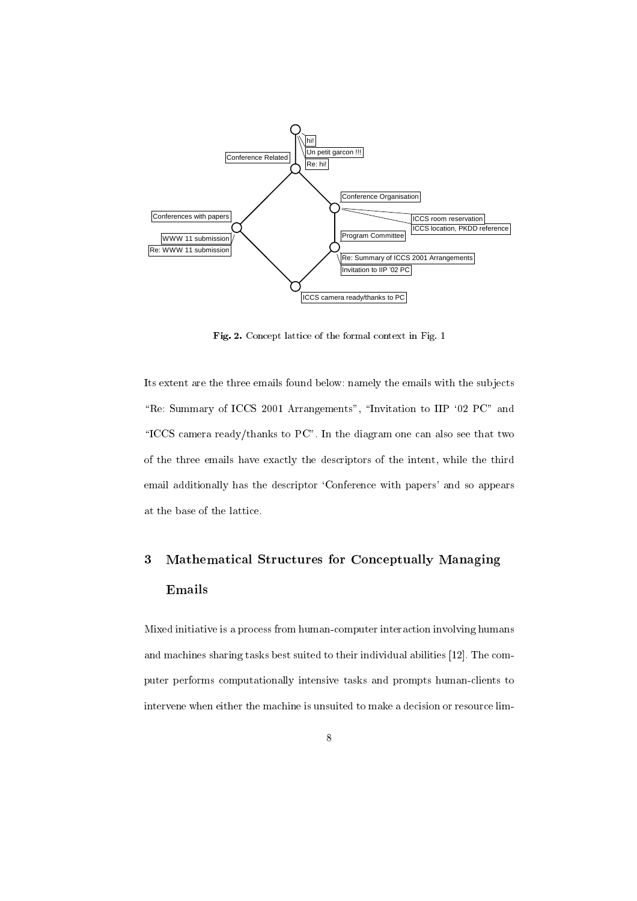

Fig. 2. Concept lattice of the formal context in Fig. 1

Its extent are the three emails found below: namely the emails with the sub jects "Re: Summary of ICCS 2001 Arrangements", "Invitation to IIP '02 PC" and "ICCS camera ready/thanks to  $PC$ ". In the diagram one can also see that two of the three emails have exactly the descriptors of the intent, while the third email additionally has the descriptor `Conference with papers' and so appears at the base of the lattice.

# 3 Mathematical Structures for Conceptually Managing Emails

Mixed initiative is a process from human-computer interaction involving humans and machines sharing tasks best suited to their individual abilities [12]. The computer performs computationally intensive tasks and prompts human-clients to intervene when either the machine is unsuited to make a decision or resource lim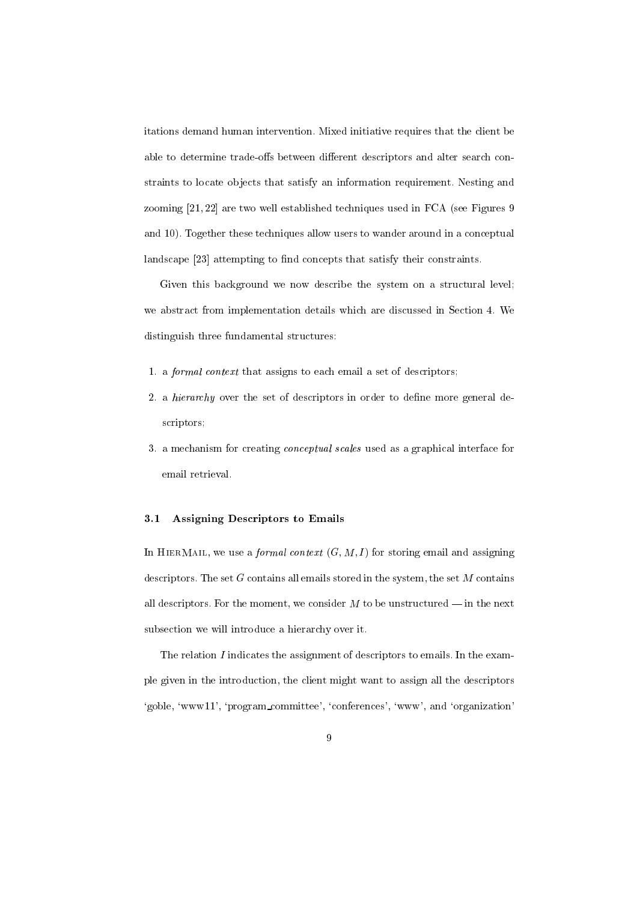itations demand human intervention. Mixed initiative requires that the client be able to determine trade-offs between different descriptors and alter search constraints to locate ob jects that satisfy an information requirement. Nesting and zooming [21, 22] are two well established techniques used in FCA (see Figures 9 and 10). Together these techniques allow users to wander around in a conceptual landscape [23] attempting to find concepts that satisfy their constraints.

Given this background we now describe the system on a structural level; we abstract from implementation details which are discussed in Section 4. We distinguish three fundamental structures:

- 1. a formal context that assigns to each email a set of descriptors;
- 2. a *hierarchy* over the set of descriptors in order to define more general descriptors;
- 3. a mechanism for creating conceptual scales used as a graphical interface for email retrieval.

## 3.1 Assigning Descriptors to Emails

In HIERMAIL, we use a *formal context*  $(G, M, I)$  for storing email and assigning descriptors. The set  $G$  contains all emails stored in the system, the set  $M$  contains all descriptors. For the moment, we consider  $M$  to be unstructured  $-$  in the next subsection we will introduce a hierarchy over it.

The relation  $I$  indicates the assignment of descriptors to emails. In the example given in the introduction, the client might want to assign all the descriptors `goble, `www11', `program committee', `conferences', `www', and `organization'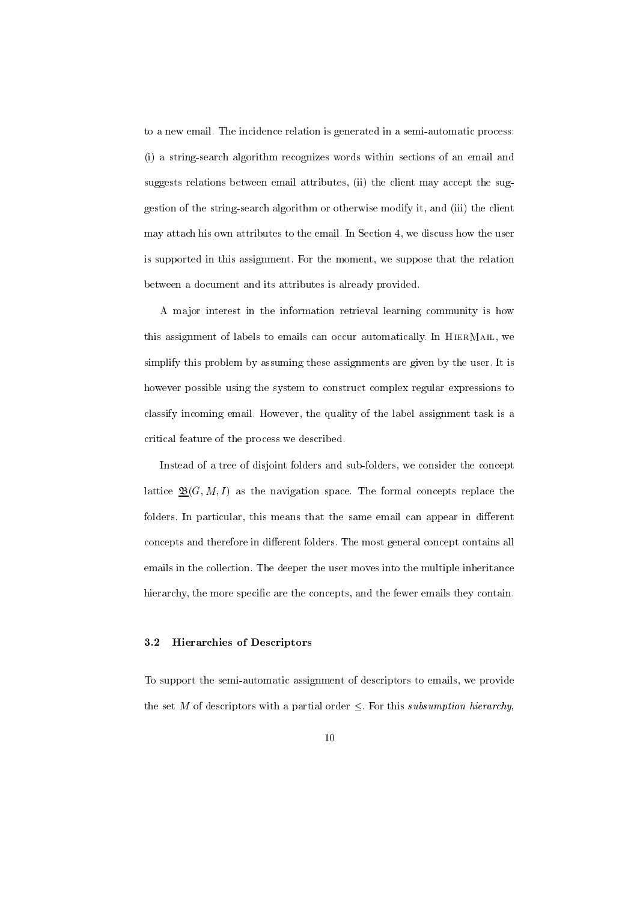to a new email. The incidence relation is generated in a semi-automatic process: (i) a string-search algorithm recognizes words within sections of an email and suggests relations between email attributes, (ii) the client may accept the suggestion of the string-search algorithm or otherwise modify it, and (iii) the client may attach his own attributes to the email. In Section 4, we discuss how the user is supported in this assignment. For the moment, we suppose that the relation between a document and its attributes is already provided.

A ma jor interest in the information retrieval learning community is how this assignment of labels to emails can occur automatically. In HierMail, we simplify this problem by assuming these assignments are given by the user. It is however possible using the system to construct complex regular expressions to classify incoming email. However, the quality of the label assignment task is a critical feature of the process we described.

Instead of a tree of disjoint folders and sub-folders, we consider the concept lattice  $\underline{\mathfrak{B}}(G, M, I)$  as the navigation space. The formal concepts replace the folders. In particular, this means that the same email can appear in different concepts and therefore in different folders. The most general concept contains all emails in the collection. The deeper the user moves into the multiple inheritance hierarchy, the more specific are the concepts, and the fewer emails they contain.

## 3.2 Hierarchies of Descriptors

To support the semi-automatic assignment of descriptors to emails, we provide the set M of descriptors with a partial order  $\leq$ . For this subsumption hierarchy,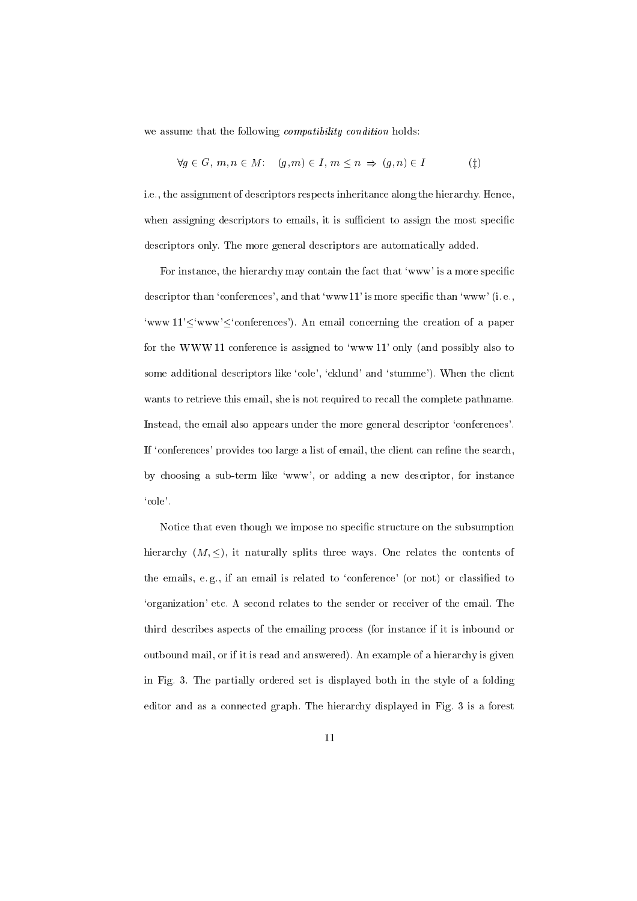we assume that the following *compatibility condition* holds:

$$
\forall g \in G, m, n \in M: \quad (g, m) \in I, m \le n \implies (g, n) \in I \tag{\ddagger}
$$

i.e., the assignment of descriptors respects inheritance along the hierarchy. Hence, when assigning descriptors to emails, it is sufficient to assign the most specific descriptors only. The more general descriptors are automatically added.

For instance, the hierarchy may contain the fact that 'www' is a more specific descriptor than 'conferences', and that 'www11' is more specific than 'www' (i.e., 'www  $11'$  'www' $\leq$ 'conferences'). An email concerning the creation of a paper for the WWW 11 conference is assigned to 'www  $11'$  only (and possibly also to some additional descriptors like 'cole', 'eklund' and 'stumme'). When the client wants to retrieve this email, she is not required to recall the complete pathname. Instead, the email also appears under the more general descriptor `conferences'. If 'conferences' provides too large a list of email, the client can refine the search, by choosing a sub-term like 'www', or adding a new descriptor, for instance `cole'.

Notice that even though we impose no specic structure on the subsumption hierarchy  $(M, \leq)$ , it naturally splits three ways. One relates the contents of the emails, e.g., if an email is related to 'conference' (or not) or classified to `organization' etc. A second relates to the sender or receiver of the email. The third describes aspects of the emailing process (for instance if it is inbound or outbound mail, or if it is read and answered). An example of a hierarchy is given in Fig. 3. The partially ordered set is displayed both in the style of a folding editor and as a connected graph. The hierarchy displayed in Fig. 3 is a forest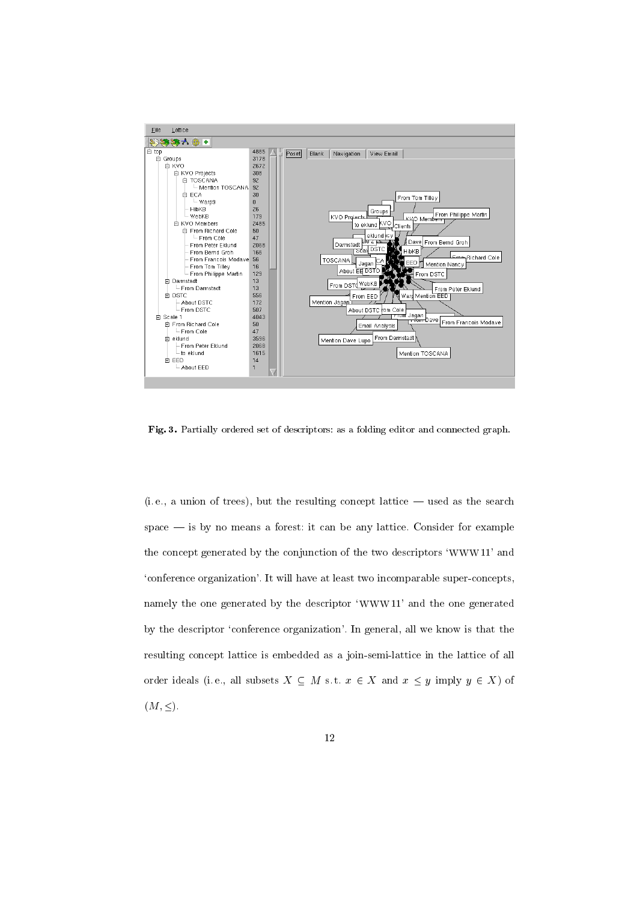

Fig. 3. Partially ordered set of descriptors: as a folding editor and connected graph.

 $(i.e., a union of trees), but the resulting concept lattice — used as the search$  $space$  = is by no means a forest: it can be any lattice. Consider for example the concept generated by the conjunction of the two descriptors `WWW 11' and `conference organization'. It will have at least two incomparable super-concepts, namely the one generated by the descriptor 'WWW 11' and the one generated by the descriptor `conference organization'. In general, all we know is that the resulting concept lattice is embedded as a join-semi-lattice in the lattice of all order ideals (i.e., all subsets  $X \subseteq M$  s.t.  $x \in X$  and  $x \leq y$  imply  $y \in X$ ) of  $(M, \leq).$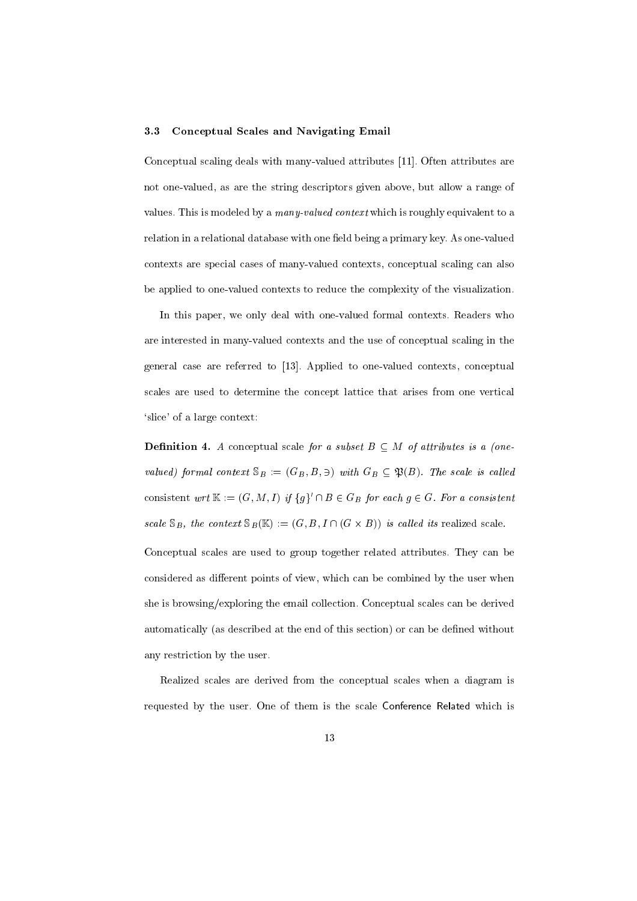#### 3.3 Conceptual Scales and Navigating Email

Conceptual scaling deals with many-valued attributes [11]. Often attributes are not one-valued, as are the string descriptors given above, but allow a range of values. This is modeled by a many-valued context which is roughly equivalent to a relation in a relational database with one field being a primary key. As one-valued contexts are special cases of many-valued contexts, conceptual scaling can also be applied to one-valued contexts to reduce the complexity of the visualization.

In this paper, we only deal with one-valued formal contexts. Readers who are interested in many-valued contexts and the use of conceptual scaling in the general case are referred to [13]. Applied to one-valued contexts, conceptual scales are used to determine the concept lattice that arises from one vertical `slice' of a large context:

**Definition 4.** A conceptual scale for a subset  $B \subseteq M$  of attributes is a (onevalue of  $f$  is context some  $\alpha$  is all  $\alpha$  is called in  $\alpha$ . The scale is called in the scale is called in  $\alpha$ consistent wrt  $\mathbb{N} := (\mathbf{G}, M, I)$  if  $\{g\}$  if  $D \in \mathbf{G}$  for each  $g \in \mathbf{G}$ . For a consistent scale SB, the context SB(K ) := (G; B ; I \ (G - B)) is cal led its realized scale. Conceptual scales are used to group together related attributes. They can be considered as different points of view, which can be combined by the user when she is browsing/exploring the email collection. Conceptual scales can be derived automatically (as described at the end of this section) or can be defined without any restriction by the user.

Realized scales are derived from the conceptual scales when a diagram is requested by the user. One of them is the scale Conference Related which is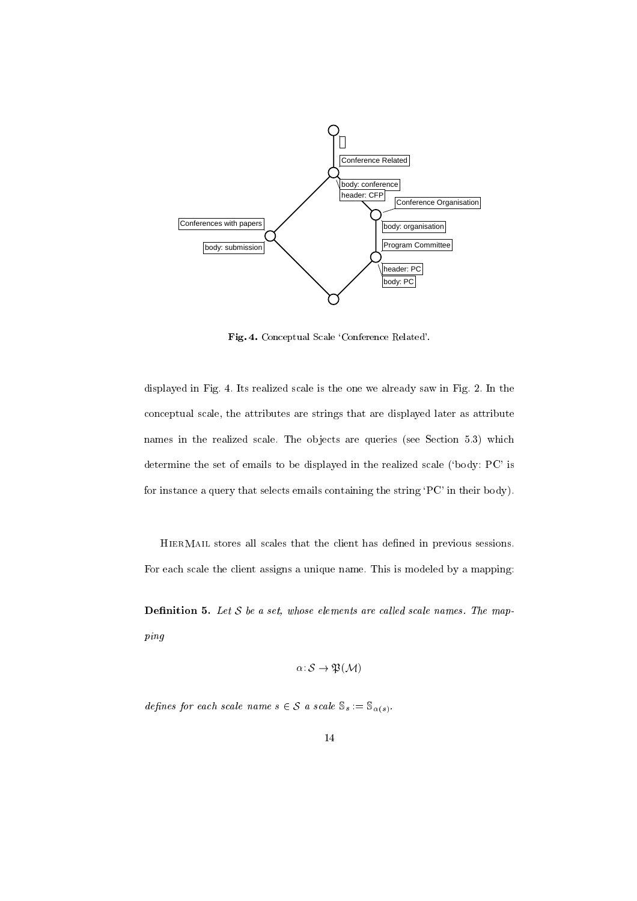

Fig. 4. Conceptual Scale `Conference Related'.

displayed in Fig. 4. Its realized scale is the one we already saw in Fig. 2. In the conceptual scale, the attributes are strings that are displayed later as attribute names in the realized scale. The objects are queries (see Section 5.3) which determine the set of emails to be displayed in the realized scale (`body: PC' is for instance a query that selects emails containing the string `PC' in their body).

HierMail stores all scales that the client has dened in previous sessions. For each scale the client assigns a unique name. This is modeled by a mapping:

**Definition 5.** Let  $S$  be a set, whose elements are called scale names. The mapping

$$
\alpha\colon \mathcal{S}\to \mathfrak{P}(\mathcal{M})
$$

defines for each scale name  $s \in S$  a scale  $\mathbb{S}_s := \mathbb{S}_{\alpha(s)}$ .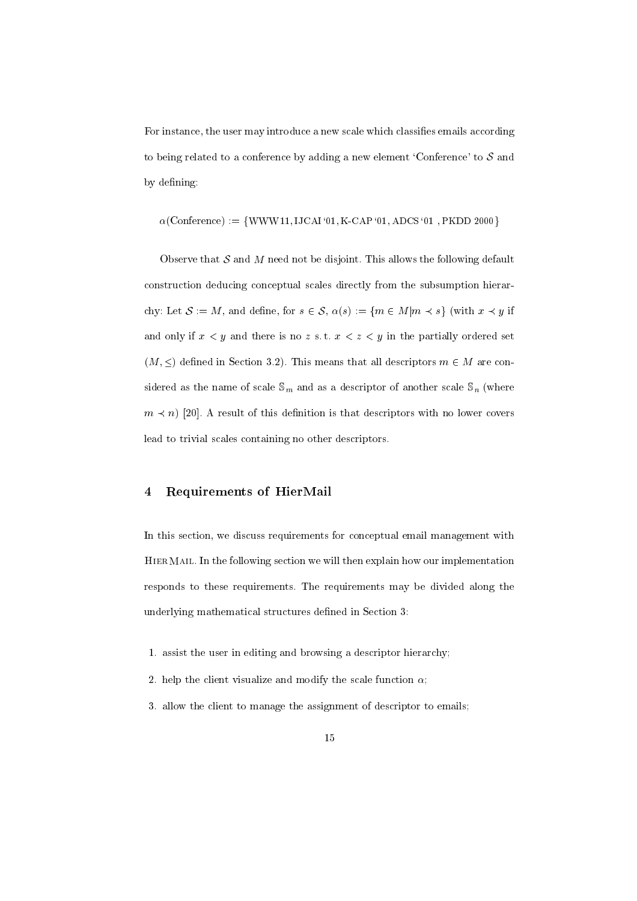For instance, the user may introduce a new scale which classifies emails according to being related to a conference by adding a new element 'Conference' to  $S$  and by defining:

$$
\alpha\text{(Conference)} := \{WWW\,11, \text{IJCAI '01}, \text{K-CAP '01}, \text{ADCS '01 }, \text{PKDD 2000}\}
$$

Observe that  $S$  and  $M$  need not be disjoint. This allows the following default construction deducing conceptual scales directly from the subsumption hierarchy: Let  $S := M$ , and define, for  $s \in S$ ,  $\alpha(s) := \{ m \in M | m \prec s \}$  (with  $x \prec y$  if and only if  $x < y$  and there is no z s.t.  $x < z < y$  in the partially ordered set  $(M, \leq)$  defined in Section 3.2). This means that all descriptors  $m \in M$  are considered as the name of scale  $\sim$   $m$  and as a descriptor of another scale  $\sim$   $m$  (where  $\sim$ m and  $\mathcal{P}$  result of this descriptor is the descriptors with no lower covers with no lower covers with no lower covers with no lower covers with no lower covers with no lower covers with no lower covers with no lower lead to trivial scales containing no other descriptors.

# 4 Requirements of HierMail

In this section, we discuss requirements for conceptual email management with HierMail. In the following section we will then explain how our implementation responds to these requirements. The requirements may be divided along the underlying mathematical structures defined in Section 3:

- 1. assist the user in editing and browsing a descriptor hierarchy;
- 2. help the client visualize and modify the scale function  $\alpha$ ;
- 3. allow the client to manage the assignment of descriptor to emails;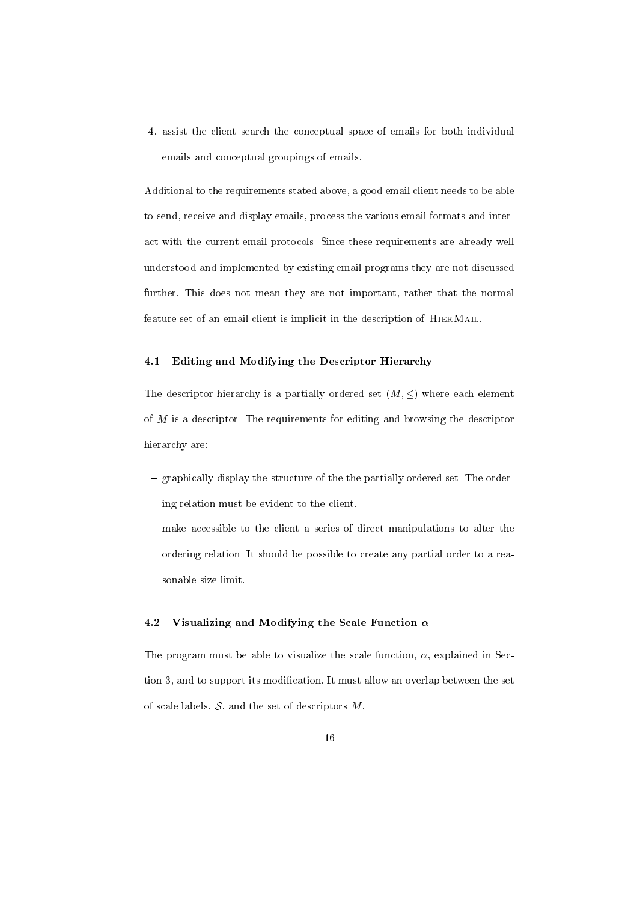4. assist the client search the conceptual space of emails for both individual emails and conceptual groupings of emails.

Additional to the requirements stated above, a good email client needs to be able to send, receive and display emails, process the various email formats and interact with the current email protocols. Since these requirements are already well understood and implemented by existing email programs they are not discussed further. This does not mean they are not important, rather that the normal feature set of an email client is implicit in the description of HierMail.

# 4.1 Editing and Modifying the Descriptor Hierarchy

The descriptor hierarchy is a partially ordered set  $(M, \leq)$  where each element of M is a descriptor. The requirements for editing and browsing the descriptor hierarchy are:

- $=$  graphically display the structure of the the partially ordered set. The ordering relation must be evident to the client.
- $-$  make accessible to the client a series of direct manipulations to alter the ordering relation. It should be possible to create any partial order to a reasonable size limit.

# 4.2 Visualizing and Modifying the Scale Function  $\alpha$

The program must be able to visualize the scale function,  $\alpha$ , explained in Section 3, and to support its modification. It must allow an overlap between the set of scale labels,  $S$ , and the set of descriptors  $M$ .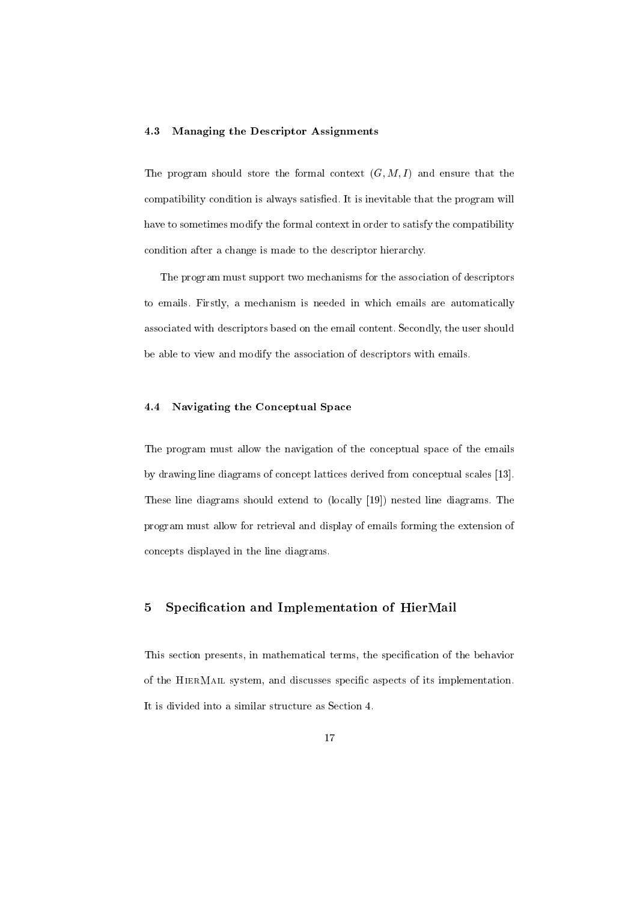#### 4.3 Managing the Descriptor Assignments

The program should store the formal context  $(G, M, I)$  and ensure that the compatibility condition is always satisfied. It is inevitable that the program will have to sometimes modify the formal context in order to satisfy the compatibility condition after a change is made to the descriptor hierarchy.

The program must support two mechanisms for the association of descriptors to emails. Firstly, a mechanism is needed in which emails are automatically associated with descriptors based on the email content. Secondly, the user should be able to view and modify the association of descriptors with emails.

# 4.4 Navigating the Conceptual Space

The program must allow the navigation of the conceptual space of the emails by drawing line diagrams of concept lattices derived from conceptual scales [13]. These line diagrams should extend to (locally [19]) nested line diagrams. The program must allow for retrieval and display of emails forming the extension of concepts displayed in the line diagrams.

# 5 Specication and Implementation of HierMail

This section presents, in mathematical terms, the specification of the behavior of the HierMail system, and discusses specic aspects of its implementation. It is divided into a similar structure as Section 4.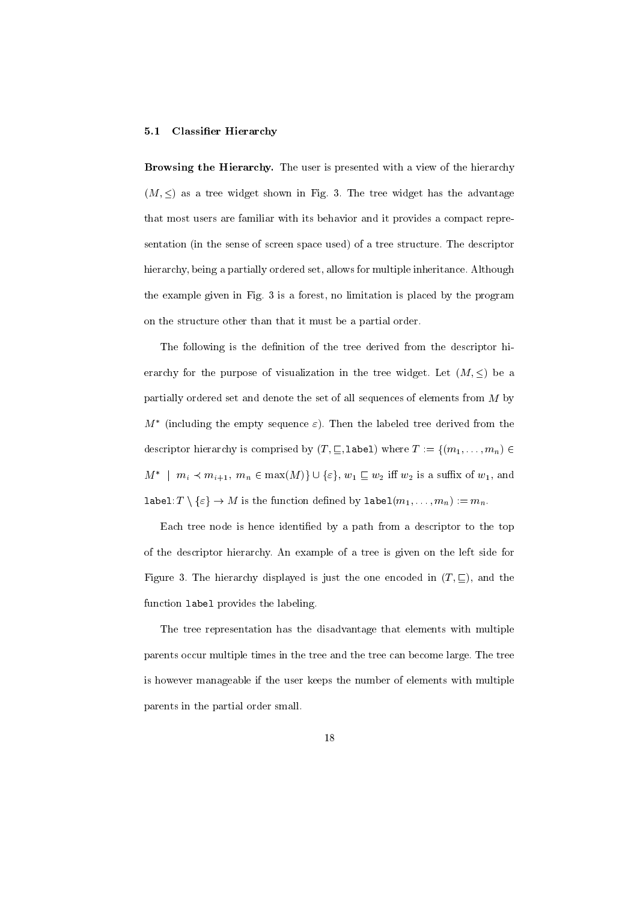#### 5.1 Classier Hierarchy

Browsing the Hierarchy. The user is presented with a view of the hierarchy  $(M, \leq)$  as a tree widget shown in Fig. 3. The tree widget has the advantage that most users are familiar with its behavior and it provides a compact representation (in the sense of screen space used) of a tree structure. The descriptor hierarchy, being a partially ordered set, allows for multiple inheritance. Although the example given in Fig. 3 is a forest, no limitation is placed by the program on the structure other than that it must be a partial order.

The following is the definition of the tree derived from the descriptor hierarchy for the purpose of visualization in the tree widget. Let  $(M, \leq)$  be a partially ordered set and denote the set of all sequences of elements from M by  $m$  ) (including the empty sequence  $\varepsilon$ ). Then the labeled tree derived from the  $\,$ descriptor hierarchy is comprised by  $(T, \subseteq, \text{label})$  where  $T := \{(m_1,\ldots,m_n) \in$  $m_1$   $m_i$   $\prec$   $m_{i+1}$ ,  $m_n$   $\in$  max( $M$ ) $\}$   $\cup$  { $\varepsilon$ },  $w_1$   $\sqsubset$   $w_2$  in  $w_2$  is a sum x of  $w_1$ , and  $\mathtt{label} (T \setminus \{\varepsilon\} \to M \text{ is the function defined by } \mathtt{label}(m_1,\ldots,m_n) := m_n.$ 

Each tree node is hence identified by a path from a descriptor to the top of the descriptor hierarchy. An example of a tree is given on the left side for Figure 3. The hierarchy displayed is just the one encoded in  $(T, \subseteq)$ , and the function label provides the labeling.

The tree representation has the disadvantage that elements with multiple parents occur multiple times in the tree and the tree can become large. The tree is however manageable if the user keeps the number of elements with multiple parents in the partial order small.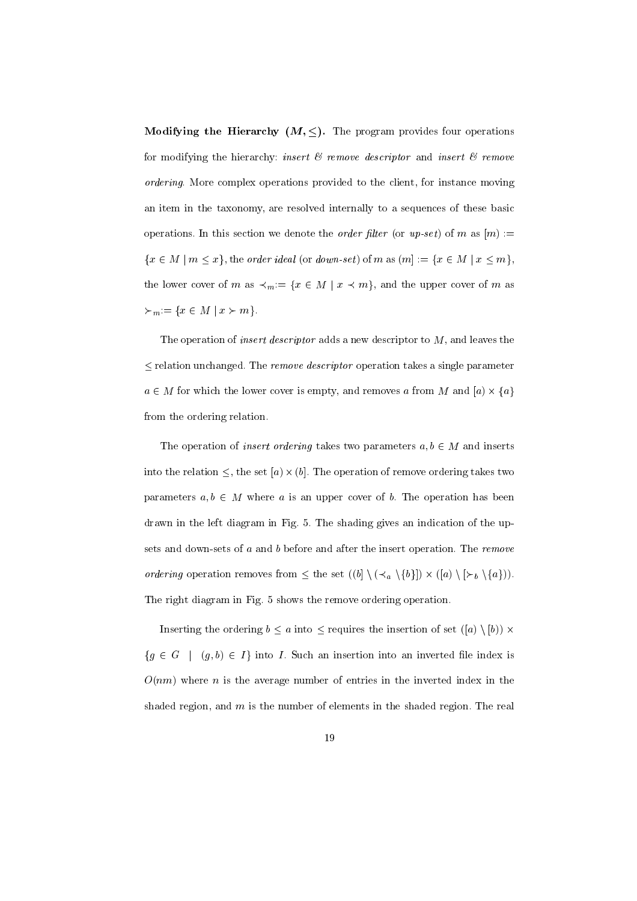**Modifying the Hierarchy (M,**  $\leq$ **).** The program provides four operations for modifying the hierarchy: insert  $\mathcal C$  remove descriptor and insert  $\mathcal C$  remove ordering. More complex operations provided to the client, for instance moving an item in the taxonomy, are resolved internally to a sequences of these basic operations. In this section we denote the *order filter* (or  $up\text{-}set$ ) of m as  $[m] :=$  $\{x \in M \mid m \leq x\}$ , the order ideal (or down-set) of m as  $(m] := \{x \in M \mid x \leq m\}$ , the lower cover of m as  $\prec_m:= \{x \in M \mid x \prec m\}$ , and the upper cover of m as  $\succcurlyeq_m := \{ x \in M \ | \ x \succ m \}.$ 

The operation of *insert descriptor* adds a new descriptor to  $M$ , and leaves the  $\leq$  relation unchanged. The *remove descriptor* operation takes a single parameter a 2 M for which the lower cover is the lower cover  $\mathcal{A}$  , which is empty, and and from M and  $\mathcal{A}$  -  $\mathcal{A}$ from the ordering relation.

The operation of *insert ordering* takes two parameters  $a, b \in M$  and inserts into the relation , the set  $\vert v\rangle$  , the main of relation of remove or removement the set of remove parameters  $a, b \in M$  where a is an upper cover of b. The operation has been drawn in the left diagram in Fig. 5. The shading gives an indication of the upsets and down-sets of a and b before and after the insert operation. The remove ordering operation removes from the set ((b) n (a) n (a) n (a) n (b)). In (b) in (b) The right diagram in Fig. 5 shows the remove ordering operation.

Inserting the ordering  $b \le a$  into  $\le$  requires the insertion of set  $([a] \setminus [b]) \times$  ${g \in G \mid (g, b) \in I}$  into I. Such an insertion into an inverted file index is  $O(nm)$  where *n* is the average number of entries in the inverted index in the shaded region, and  $m$  is the number of elements in the shaded region. The real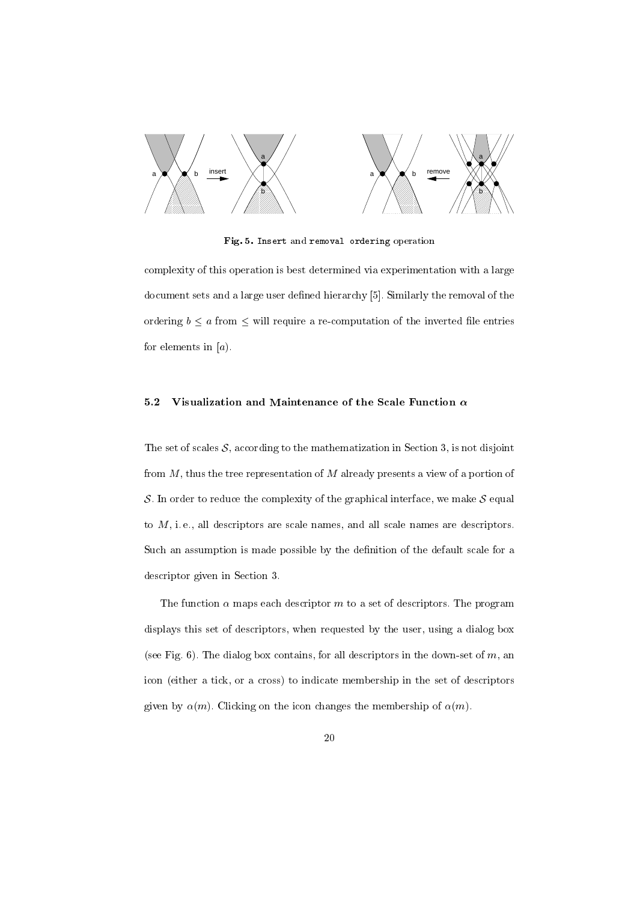

Fig. 5. Insert and removal ordering operation

complexity of this operation is best determined via experimentation with a large document sets and a large user defined hierarchy [5]. Similarly the removal of the ordering b <sup>a</sup> from will require a re-computation of the inverted le entries for elements in  $[a]$ .

# 5.2 Visualization and Maintenance of the Scale Function  $\alpha$

The set of scales  $S$ , according to the mathematization in Section 3, is not disjoint from  $M$ , thus the tree representation of  $M$  already presents a view of a portion of S. In order to reduce the complexity of the graphical interface, we make  $S$  equal to  $M$ , i.e., all descriptors are scale names, and all scale names are descriptors. Such an assumption is made possible by the definition of the default scale for a descriptor given in Section 3.

The function  $\alpha$  maps each descriptor m to a set of descriptors. The program displays this set of descriptors, when requested by the user, using a dialog box (see Fig. 6). The dialog box contains, for all descriptors in the down-set of  $m$ , an icon (either a tick, or a cross) to indicate membership in the set of descriptors given by  $\alpha(m)$ . Clicking on the icon changes the membership of  $\alpha(m)$ .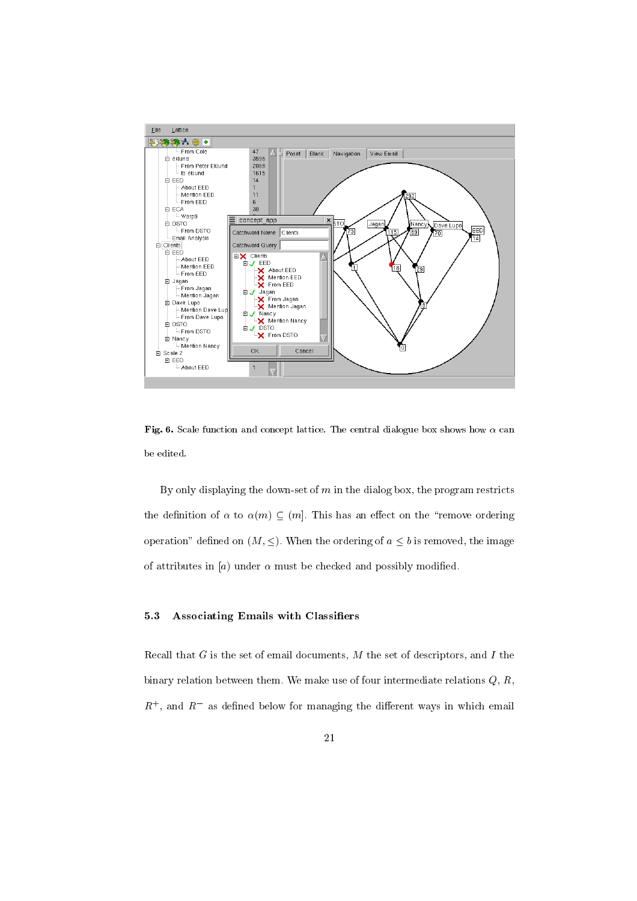

Fig. 6. Scale function and concept lattice. The central dialogue box shows how  $\alpha$  can be edited.

By only displaying the down-set of  $m$  in the dialog box, the program restricts the definition of  $\alpha$  to  $\alpha(m) \subseteq (m]$ . This has an effect on the "remove ordering" operation" defined on  $(M, \leq)$ . When the ordering of  $a \leq b$  is removed, the image of attributes in [a] under  $\alpha$  must be checked and possibly modified.

#### $5.3$ Associating Emails with Classifiers

Recall that  $G$  is the set of email documents,  $M$  the set of descriptors, and  $I$  the binary relation between them. We make use of four intermediate relations  $Q, R$ ,  $R_{\rm{+}}$  , and  $R_{\rm{+}}$  as defined below for managing the different ways in which email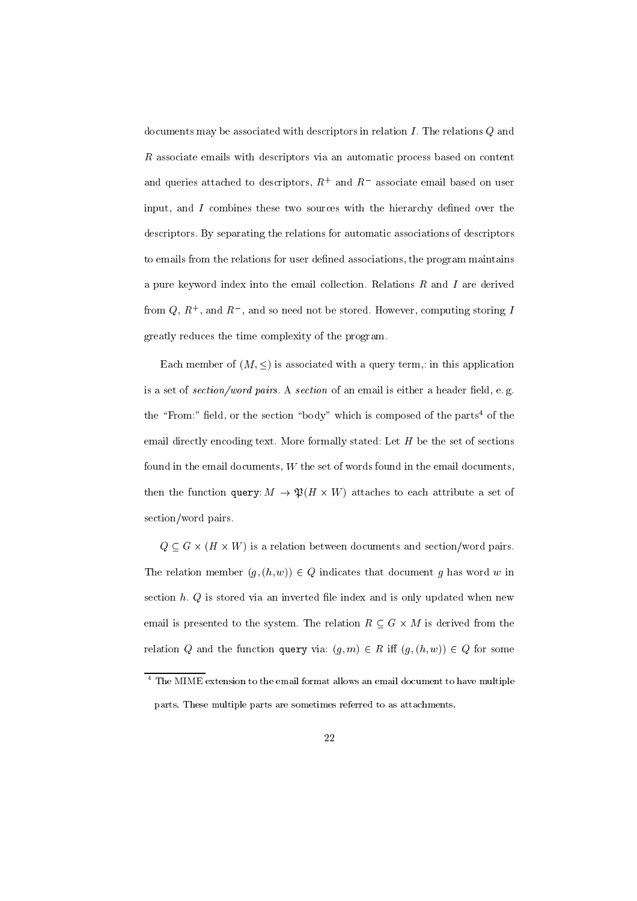documents may be associated with descriptors in relation  $I$ . The relations  $Q$  and  $R$  associate emails with descriptors via an automatic process based on content and queries attached to descriptors,  $R_+$  and  $R_-$  associate email based on user input, and  $I$  combines these two sources with the hierarchy defined over the descriptors. By separating the relations for automatic associations of descriptors to emails from the relations for user defined associations, the program maintains a pure keyword index into the email collection. Relations  $R$  and  $I$  are derived from  $Q, R^+$ , and  $R^-$ , and so need not be stored. However, computing storing  $I$ greatly reduces the time complexity of the program.

Each member of  $(M, \leq)$  is associated with a query term,: in this application is a set of section/word pairs. A section of an email is either a header field, e.g. the "From:" field, or the section "body" which is composed of the parts<sup>4</sup> of the email directly encoding text. More formally stated: Let  $H$  be the set of sections found in the email documents,  $W$  the set of words found in the email documents, the function  $\eta$  and  $\eta$  . We have a set of the set of the set of the set of  $\eta$ section/word pairs.

Q <sup>G</sup> - (H - W) is a relation between documents and section/word pairs. The relation member  $(g, (h, w)) \in Q$  indicates that document g has word w in section  $h. Q$  is stored via an inverted file index and is only updated when new email is presented to the system. The relation <sup>R</sup> <sup>G</sup> - M is derived from the relation Q and the function query via:  $(g, m) \in R$  iff  $(g, (h, w)) \in Q$  for some

 $^\circ$  The MIME extension to the email format allows an email document to have multiple parts. These multiple parts are sometimes referred to as attachments.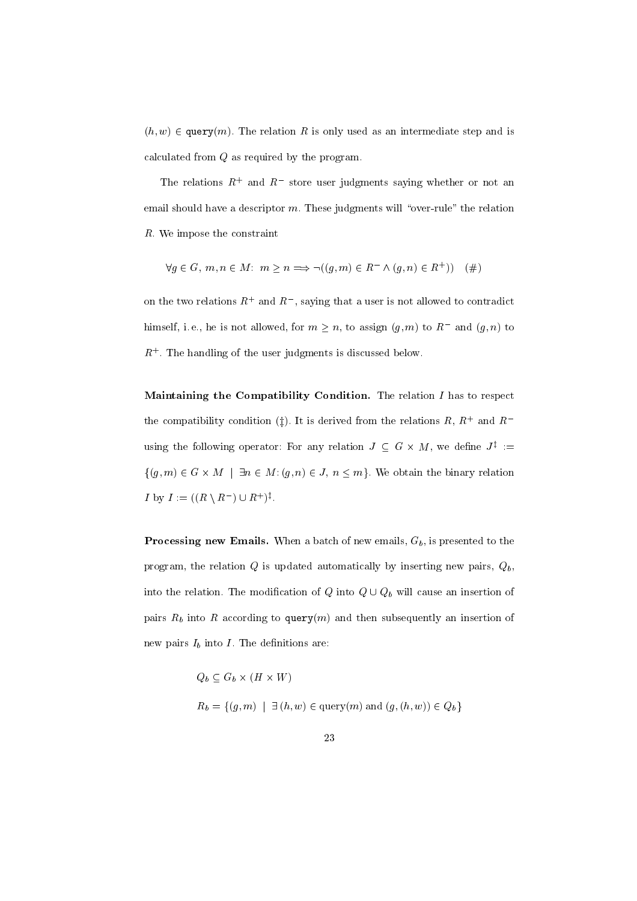$(h, w) \in \text{query}(m)$ . The relation R is only used as an intermediate step and is calculated from Q as required by the program.

The relations  $R_+$  and  $R_+$  store user judgments saying whether or not an email should have a descriptor  $m$ . These judgments will "over-rule" the relation R. We impose the constraint

$$
\forall g \in G, m, n \in M \colon m \ge n \Longrightarrow \neg((g, m) \in R^{-} \land (g, n) \in R^{+})) \quad (\#)
$$

on the two relations  $R_+$  and  $R_+$ , saying that a user is not allowed to contradict miniseli, i.e., he is not allowed, for  $m > n$ , to assign  $(g, m)$  to  $R$  and  $(g, n)$  to  $R_{\perp}$  . The handling of the user judgments is discussed below.

Maintaining the Compatibility Condition. The relation  $I$  has to respect the compatibility condition (1). It is derived from the relations  $R,~R_{+}$  and  $R_{-}$ using the following operator: For any relation  $J \subseteq G \times M$ , we define  $J^* :=$ for  $\mathcal{C}$  , and  $\mathcal{C}$  are defined by  $\mathcal{C}$  , and  $\mathcal{C}$  is a matrix relation the binary relation the binary relationship of  $\mathcal{C}$  $I \cup Y I := \left( \mid R \setminus R \mid \cup R \mid \right)^{T}$ .

Processing new Emails. When a batch of new emails, Gb , is presented to the program, the relation  $Q$  is updated automatically by inserting new pairs,  $Q_b$ , into the relation of the modification of  $\mathcal{Q}$  into  $\mathcal{Q}$  will cause an insertion of  $\mathcal{Q}$ pairs Rb into Rb into Rb into Rb into Rb according to  $\mathcal{A}$  and then subsequently and then subsequently and then subsequently and then subsequently and then subsequently and then subsequently and then subsequently and new pairs Ib into I . The definition is a structure of the definition of the definition of the definitions are

> $\mathbf{v} \cdot \mathbf{v} = \mathbf{v} \cdot \mathbf{v}$  $\mathbb{P}^{\bullet}(U) = \{f,g\} \cup \{f,g\} = \{f,g\} = \{f,g\} \cup \{f,g\} = \{f,g\} \cup \{f,g\} = \{f,g\}$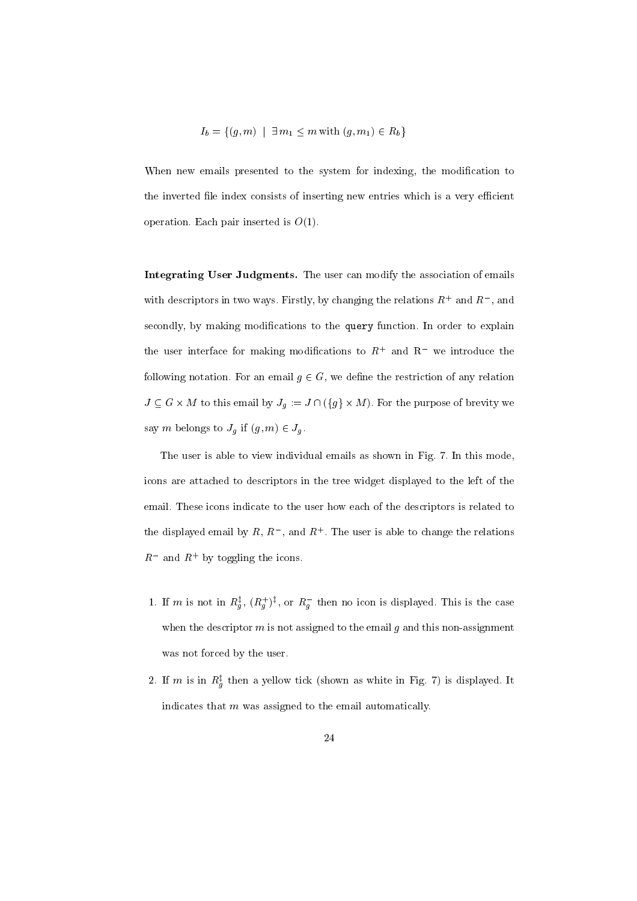$$
I_b = \{(g, m) \mid \exists m_1 \le m \text{ with } (g, m_1) \in R_b \}
$$

When new emails presented to the system for indexing, the modification to the inverted file index consists of inserting new entries which is a very efficient operation. Each pair inserted is  $O(1)$ .

Integrating User Judgments. The user can modify the association of emails with descriptors in two ways. Firstly, by changing the relations  $R_+$  and  $R_-$  , and secondly, by making modifications to the query function. In order to explain the user interface for making modifications to  $R_+$  and  $R_-$  we introduce the  $\pm$ following notation. For an email  $g \in G$ , we define the restriction of any relation  $J = \infty$  . For this email by Jg := J  $\cdot$  (gg  $\cdot$  the purpose of brevity we obtain say m belongs to July 1  $-$  July 1  $-$  July 1  $-$  July 1  $-$  July 1  $-$  July 1  $-$  July 1  $-$  July 1  $-$  July 1  $-$  July 1  $-$  July 1  $-$  July 1  $-$  July 1  $-$  July 1  $-$  July 1  $-$  July 1  $-$  July 1  $-$  July 1  $-$  July 1

The user is able to view individual emails as shown in Fig. 7. In this mode, icons are attached to descriptors in the tree widget displayed to the left of the email. These icons indicate to the user how each of the descriptors is related to the displayed email by  $R$ ,  $R$  , and  $R$  . The user is able to change the relations  $R$  and  $R$  by toggling the icons.

- 1. If m is not in  $K_q^r$ ,  $(K_q^r)^r$ , or  $K_q^r$  then no icon is displayed. This is the case when the descriptor  $m$  is not assigned to the email  $g$  and this non-assignment was not forced by the user.
- 2. If m is in  $R_q^*$  then a yellow tick (shown as white in Fig. *()* is displayed. It indicates that  $m$  was assigned to the email automatically.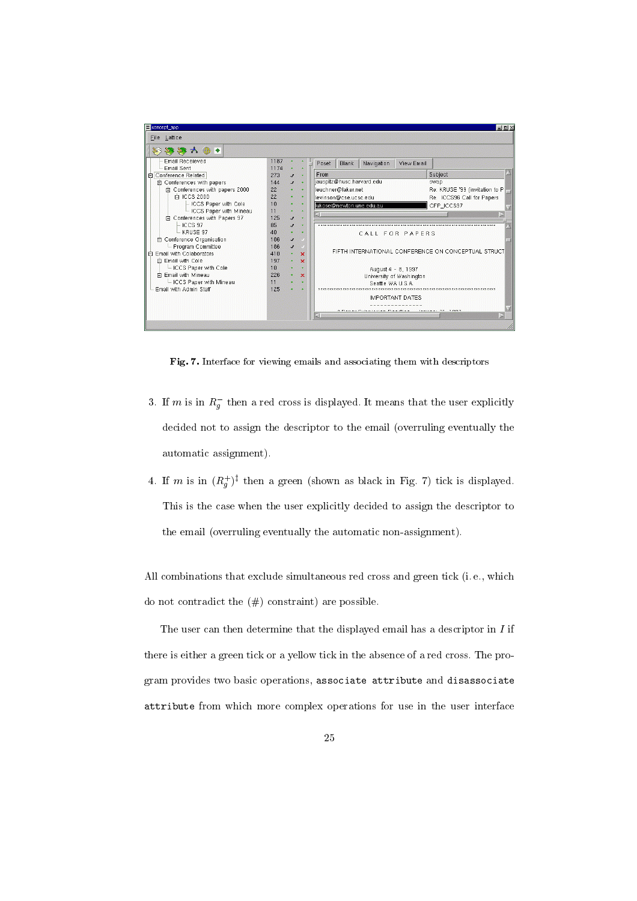

Fig. 7. Interface for viewing emails and associating them with descriptors

- $3.$  If m is in  $R_g$  then a red cross is displayed. It means that the user explicitly decided not to assign the descriptor to the email (overruling eventually the automatic assignment).
- 4. If m is in  $(R_q^+)^*$  then a green (shown as black in Fig. *()* tick is displayed. This is the case when the user explicitly decided to assign the descriptor to the email (overruling eventually the automatic non-assignment).

All combinations that exclude simultaneous red cross and green tick (i. e., which do not contradict the  $(\#)$  constraint) are possible.

The user can then determine that the displayed email has a descriptor in  $I$  if there is either a green tick or a yellow tick in the absence of a red cross. The program provides two basic operations, associate attribute and disassociate attribute from which more complex operations for use in the user interface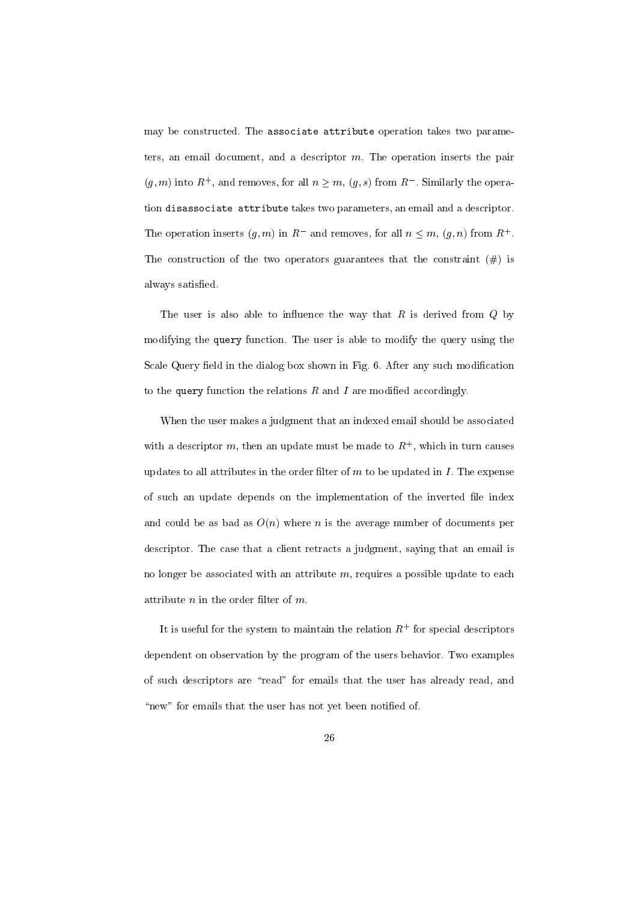may be constructed. The associate attribute operation takes two parameters, an email document, and a descriptor  $m$ . The operation inserts the pair  $(g,m)$  into R , and removes, for all  $n > m$ ,  $(g, s)$  from R similarly the operation disassociate attribute takes two parameters, an email and a descriptor. The operation inserts  $(g, m)$  in R and removes, for all  $n \leq m, (g, n)$  from R+ The construction of the two operators guarantees that the constraint  $(\#)$  is always satisfied.

The user is also able to influence the way that  $R$  is derived from  $Q$  by modifying the query function. The user is able to modify the query using the Scale Query field in the dialog box shown in Fig. 6. After any such modification to the query function the relations  $R$  and  $I$  are modified accordingly.

When the user makes a judgment that an indexed email should be associated with a descriptor  $m$ , then an update must be made to  $R_{+}$ , which in turn causes updates to all attributes in the order filter of  $m$  to be updated in  $I$ . The expense of such an update depends on the implementation of the inverted file index and could be as bad as  $O(n)$  where n is the average number of documents per descriptor. The case that a client retracts a judgment, saying that an email is no longer be associated with an attribute  $m$ , requires a possible update to each attribute  $n$  in the order filter of  $m$ .

It is useful for the system to maintain the relation  $R_+$  for special descriptors dependent on observation by the program of the users behavior. Two examples of such descriptors are "read" for emails that the user has already read, and "new" for emails that the user has not yet been notified of.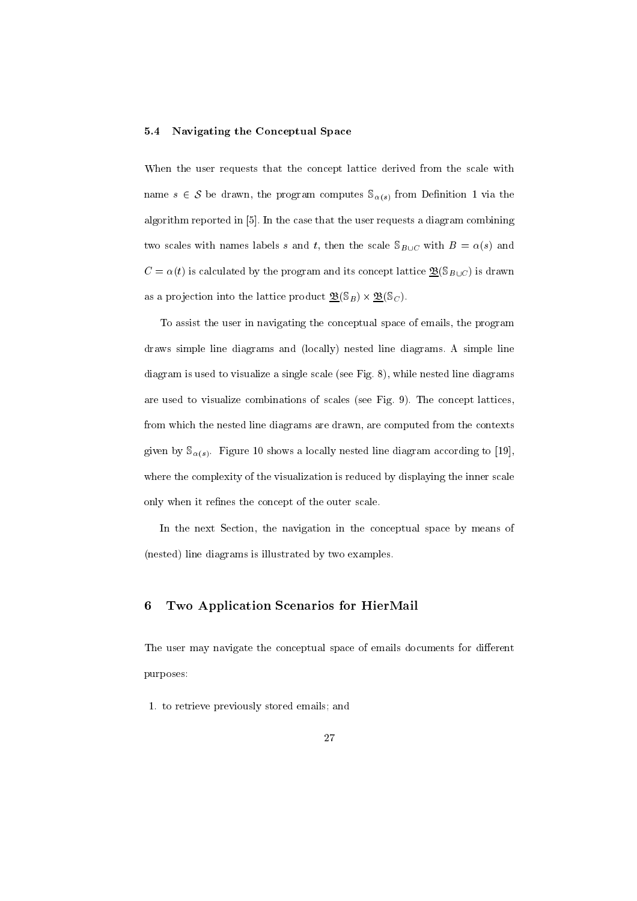### 5.4 Navigating the Conceptual Space

When the user requests that the concept lattice derived from the scale with name s 2 S be derived the program computer S(s) from December 2 via the program computer S(s) from December 2 v algorithm reported in [5]. In the case that the user requests a diagram combining two scales with names labels s and t, then the scale  $\mathcal{S}_{B\cup C}$  with  $B = \alpha(s)$  and  $C = \alpha(t)$  is calculated by the program and its concept lattice  $\underline{\mathfrak{B}}(\mathbb{S}_{B\cup C})$  is drawn as a problem into the lattice problem into the lattice product B(SB) -  $\mathbb{S}^3$ .

To assist the user in navigating the conceptual space of emails, the program draws simple line diagrams and (locally) nested line diagrams. A simple line diagram is used to visualize a single scale (see Fig. 8), while nested line diagrams are used to visualize combinations of scales (see Fig. 9). The concept lattices, from which the nested line diagrams are drawn, are computed from the contexts given by  $\mathcal{S}_{\alpha(s)}$ . Figure 10 shows a locally nested line diagram according to [19], where the complexity of the visualization is reduced by displaying the inner scale only when it refines the concept of the outer scale.

In the next Section, the navigation in the conceptual space by means of (nested) line diagrams is illustrated by two examples.

#### 6 Two Application Scenarios for HierMail

The user may navigate the conceptual space of emails documents for different purposes:

1. to retrieve previously stored emails; and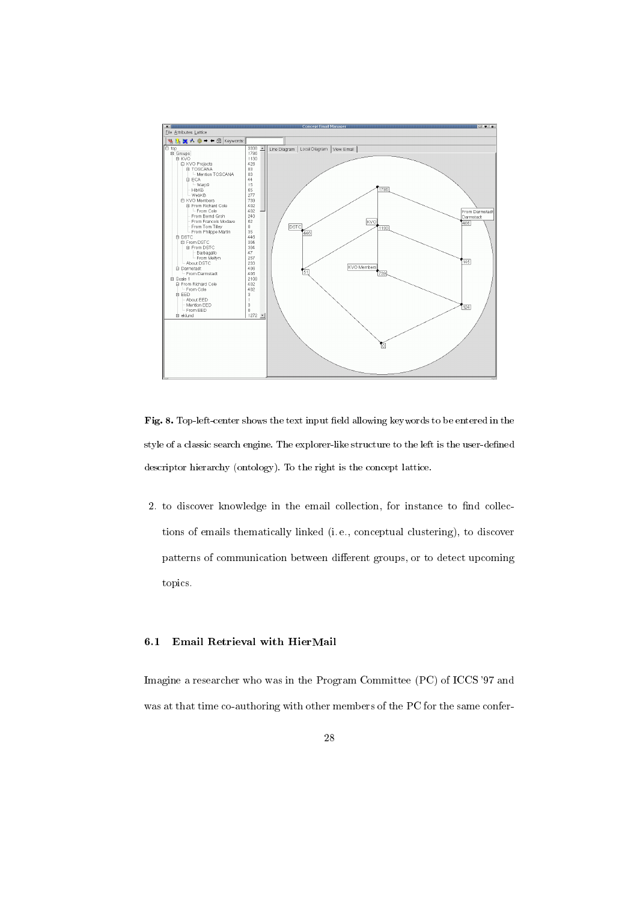

Fig. 8. Top-left-center shows the text input field allowing keywords to be entered in the style of a classic search engine. The explorer-like structure to the left is the user-dened descriptor hierarchy (ontology). To the right is the concept lattice.

2. to discover knowledge in the email collection, for instance to find collections of emails thematically linked (i. e., conceptual clustering), to discover patterns of communication between different groups, or to detect upcoming topics.

# 6.1 Email Retrieval with HierMail

Imagine a researcher who was in the Program Committee (PC) of ICCS '97 and was at that time co-authoring with other members of the PC for the same confer-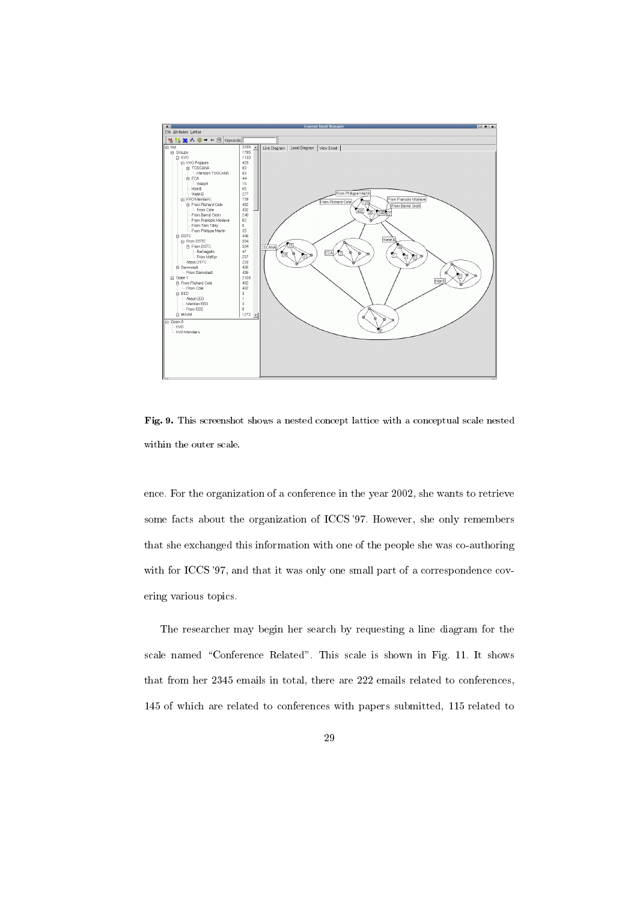

Fig. 9. This screenshot shows a nested concept lattice with a conceptual scale nested within the outer scale.

ence. For the organization of a conference in the year 2002, she wants to retrieve some facts about the organization of ICCS '97. However, she only remembers that she exchanged this information with one of the people she was co-authoring with for ICCS '97, and that it was only one small part of a correspondence covering various topics.

The researcher may begin her search by requesting a line diagram for the scale named "Conference Related". This scale is shown in Fig. 11. It shows that from her 2345 emails in total, there are 222 emails related to conferences, 145 of which are related to conferences with papers submitted, 115 related to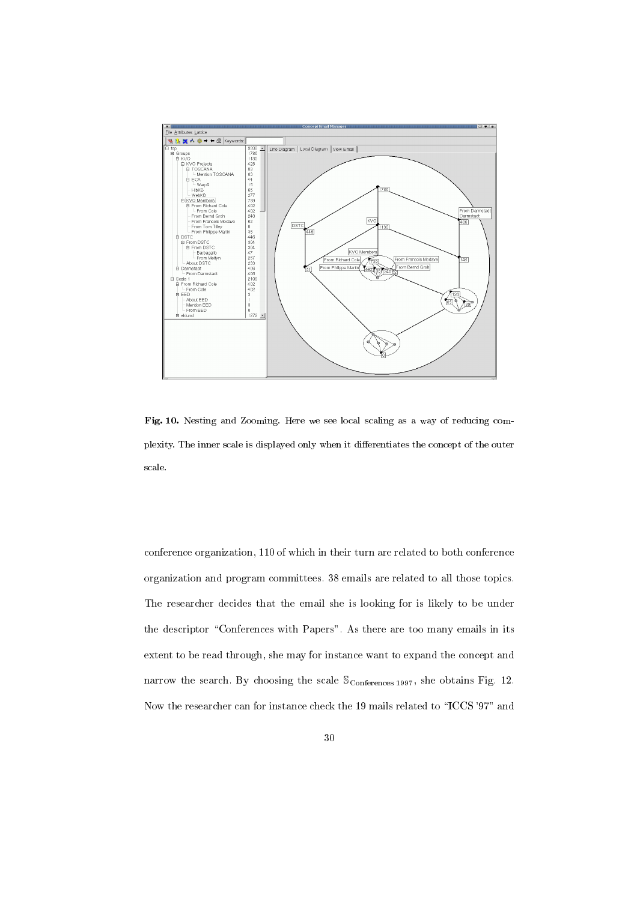

Fig. 10. Nesting and Zooming. Here we see local scaling as a way of reducing complexity. The inner scale is displayed only when it dierentiates the concept of the outer scale.

conference organization, 110 of which in their turn are related to both conference organization and program committees. 38 emails are related to all those topics. The researcher decides that the email she is looking for is likely to be under the descriptor "Conferences with Papers". As there are too many emails in its extent to be read through, she may for instance want to expand the concept and narrow the search. By choosing the scale  $\mathcal{S}_{\text{Conferences 1997}}$ , she obtains Fig. 12. Now the researcher can for instance check the 19 mails related to \ICCS '97" and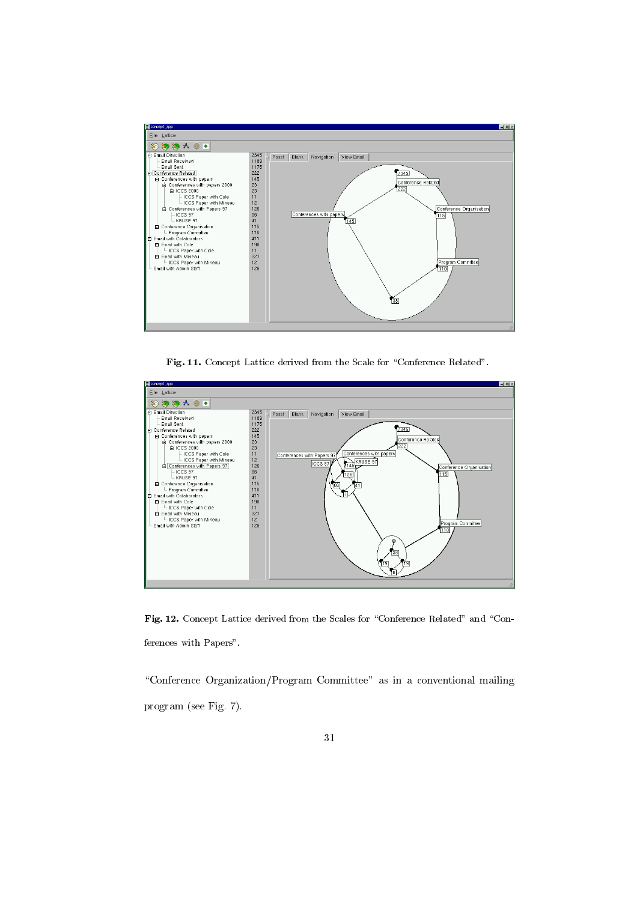

Fig. 11. Concept Lattice derived from the Scale for "Conference Related".



Fig. 12. Concept Lattice derived from the Scales for "Conference Related" and "Conferences with Papers".

\Conference Organization/Program Committee" as in a conventional mailing program (see Fig. 7).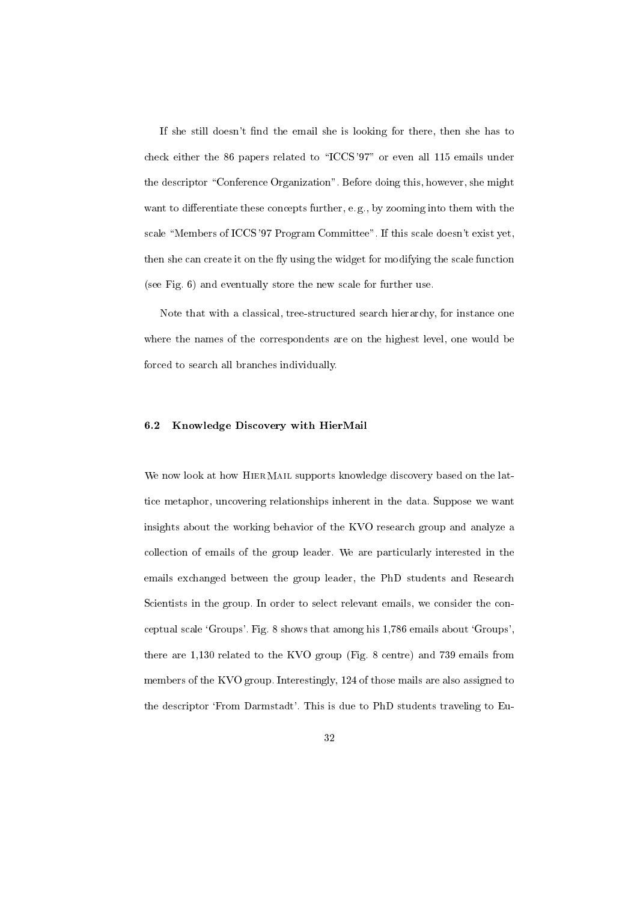If she still doesn't find the email she is looking for there, then she has to check either the 86 papers related to \ICCS '97" or even all 115 emails under the descriptor "Conference Organization". Before doing this, however, she might want to differentiate these concepts further, e.g., by zooming into them with the scale "Members of ICCS '97 Program Committee". If this scale doesn't exist yet, then she can create it on the fly using the widget for modifying the scale function (see Fig. 6) and eventually store the new scale for further use.

Note that with a classical, tree-structured search hierarchy, for instance one where the names of the correspondents are on the highest level, one would be forced to search all branches individually.

#### 6.2 Knowledge Discovery with HierMail

We now look at how HIERMAIL supports knowledge discovery based on the lattice metaphor, uncovering relationships inherent in the data. Suppose we want insights about the working behavior of the KVO research group and analyze a collection of emails of the group leader. We are particularly interested in the emails exchanged between the group leader, the PhD students and Research Scientists in the group. In order to select relevant emails, we consider the conceptual scale `Groups'. Fig. 8 shows that among his 1,786 emails about `Groups', there are 1,130 related to the KVO group (Fig. 8 centre) and 739 emails from members of the KVO group. Interestingly, 124 of those mails are also assigned to the descriptor 'From Darmstadt'. This is due to PhD students traveling to Eu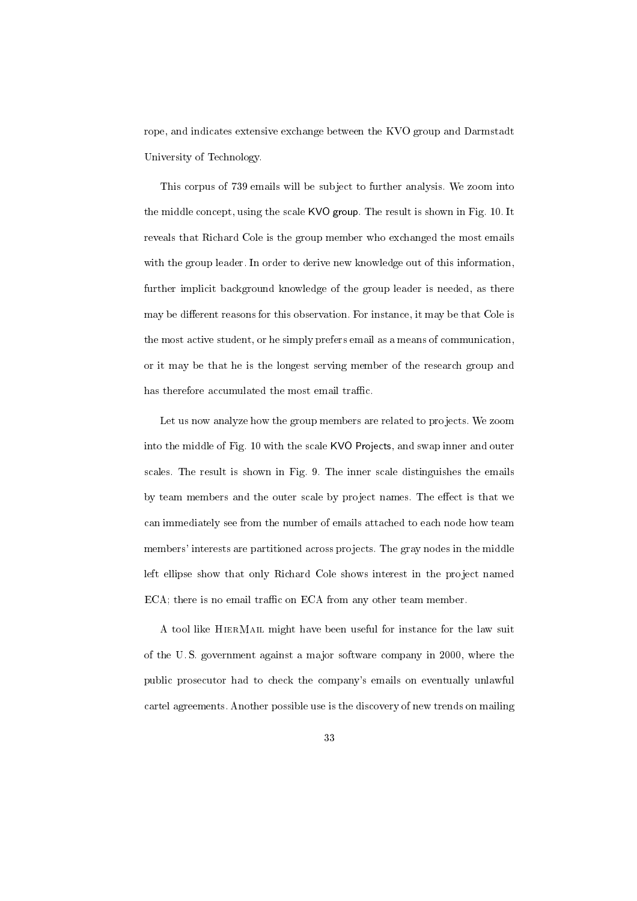rope, and indicates extensive exchange between the KVO group and Darmstadt University of Technology.

This corpus of 739 emails will be subject to further analysis. We zoom into the middle concept, using the scale KVO group. The result is shown in Fig. 10. It reveals that Richard Cole is the group member who exchanged the most emails with the group leader. In order to derive new knowledge out of this information, further implicit background knowledge of the group leader is needed, as there may be different reasons for this observation. For instance, it may be that Cole is the most active student, or he simply prefers email as a means of communication, or it may be that he is the longest serving member of the research group and has therefore accumulated the most email traffic.

Let us now analyze how the group members are related to projects. We zoom into the middle of Fig. 10 with the scale KVO Projects, and swap inner and outer scales. The result is shown in Fig. 9. The inner scale distinguishes the emails by team members and the outer scale by project names. The effect is that we can immediately see from the number of emails attached to each node how team members' interests are partitioned across projects. The gray nodes in the middle left ellipse show that only Richard Cole shows interest in the project named ECA; there is no email traffic on ECA from any other team member.

A tool like HierMail might have been useful for instance for the law suit of the U. S. government against a ma jor software company in 2000, where the public prosecutor had to check the company's emails on eventually unlawful cartel agreements. Another possible use is the discovery of new trends on mailing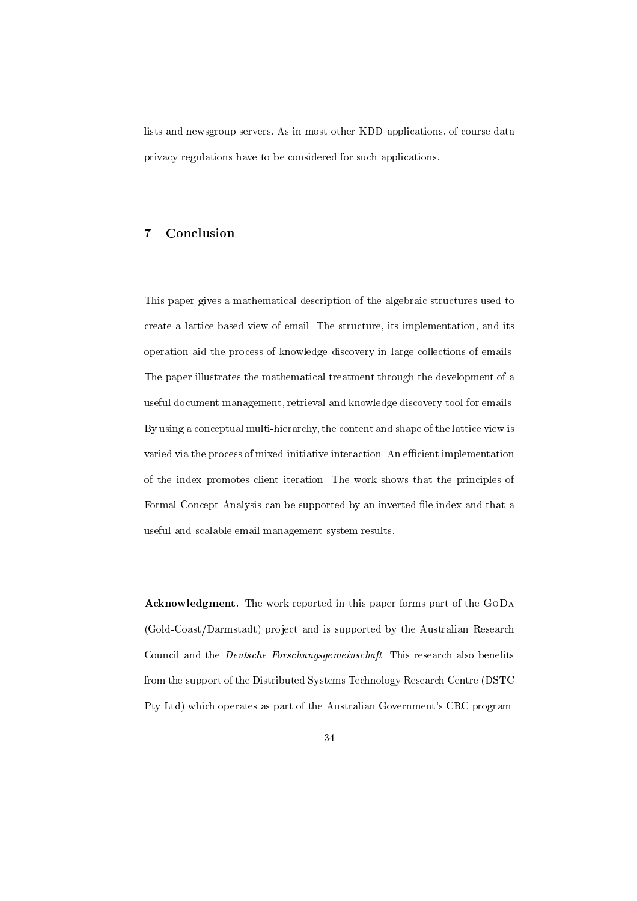lists and newsgroup servers. As in most other KDD applications, of course data privacy regulations have to be considered for such applications.

# 7 Conclusion

This paper gives a mathematical description of the algebraic structures used to create a lattice-based view of email. The structure, its implementation, and its operation aid the process of knowledge discovery in large collections of emails. The paper illustrates the mathematical treatment through the development of a useful document management, retrieval and knowledge discovery tool for emails. By using a conceptual multi-hierarchy, the content and shape of the lattice view is varied via the process of mixed-initiative interaction. An efficient implementation of the index promotes client iteration. The work shows that the principles of Formal Concept Analysis can be supported by an inverted file index and that a useful and scalable email management system results.

Acknowledgment. The work reported in this paper forms part of the GoDa (Gold-Coast/Darmstadt) project and is supported by the Australian Research Council and the *Deutsche Forschungsgemeinschaft*. This research also benefits from the support of the Distributed Systems Technology Research Centre (DSTC Pty Ltd) which operates as part of the Australian Government's CRC program.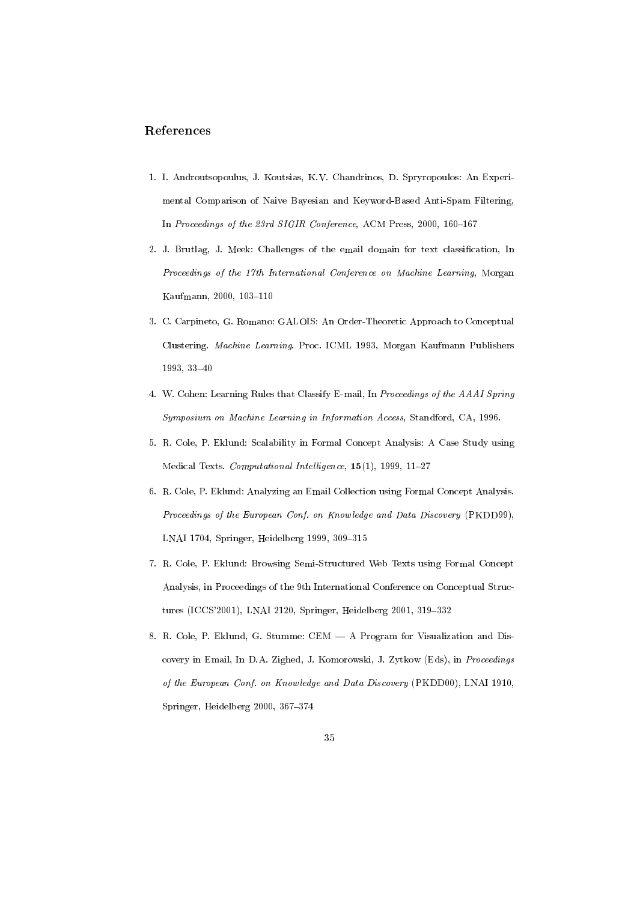# References

- 1. I. Androutsopoulus, J. Koutsias, K.V. Chandrinos, D. Spryropoulos: An Experi mental Comparison of Naive Bayesian and Keyword-Based Anti-Spam Filtering, In Proceedings of the 23rd SIGIR Conference, ACM Press, 2000, 160-167
- 2. J. Brutlag, J. Meek: Challenges of the email domain for text classication, In Proceedings of the 17th International Conference on Machine Learning, Morgan Kaufmann, 2000, 103-110
- 3. C. Carpineto, G. Romano: GALOIS: An Order-Theoretic Approach to Conceptual Clustering. Machine Learning. Proc. ICML 1993, Morgan Kaufmann Publishers  $1993, 33 - 40$
- 4. W. Cohen: Learning Rules that Classify E-mail, In Proceedings of the AAAI Spring Symposium on Machine Learning in Information Access, Standford, CA, 1996.
- 5. R. Cole, P. Eklund: Scalability in Formal Concept Analysis: A Case Study using Medical Texts. Computational Intelligence,  $15(1)$ , 1999, 11-27
- 6. R. Cole, P. Eklund: Analyzing an Email Collection using Formal Concept Analysis. Proceedings of the European Conf. on Knowledge and Data Discovery (PKDD99), LNAI 1704, Springer, Heidelberg 1999, 309-315
- 7. R. Cole, P. Eklund: Browsing Semi-Structured Web Texts using Formal Concept Analysis, in Proceedings of the 9th International Conference on Conceptual Structures (ICCS'2001), LNAI 2120, Springer, Heidelberg 2001, 319-332
- 8. R. Cole, P. Eklund, G. Stumme: CEM  $-$  A Program for Visualization and Discovery in Email, In D.A. Zighed, J. Komorowski, J. Zytkow (Eds), in Proceedings of the European Conf. on Know ledge and Data Discovery (PKDD00), LNAI 1910, Springer, Heidelberg  $2000, 367-374$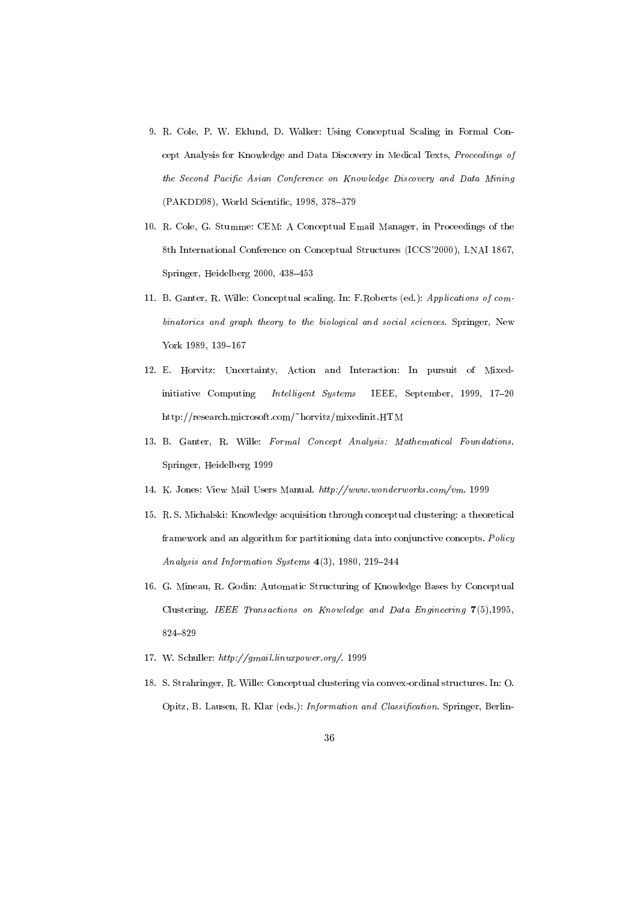- 9. R. Cole, P. W. Eklund, D. Walker: Using Conceptual Scaling in Formal Concept Analysis for Knowledge and Data Discovery in Medical Texts, Proceedings of the Second Pacific Asian Conference on Knowledge Discovery and Data Mining (PAKDD98), World Scientific, 1998, 378-379
- 10. R. Cole, G. Stumme: CEM: A Conceptual Email Manager, in Proceedings of the 8th International Conference on Conceptual Structures (ICCS'2000), LNAI 1867, Springer, Heidelberg 2000, 438-453
- 11. B. Ganter, R. Wille: Conceptual scaling. In: F.Roberts (ed.): Applications of combinatorics and graph theory to the biological and social sciences. Springer, New York 1989, 139-167
- 12. E. Horvitz: Uncertainty, Action and Interaction: In pursuit of Mixedinitiative Computing *Intelligent Systems* IEEE, September, 1999, 17-20 http://research.microsoft.com/~horvitz/mixedinit.HTM
- 13. B. Ganter, R. Wille: Formal Concept Analysis: Mathematical Foundations. Springer, Heidelberg 1999
- 14. K. Jones: View Mail Users Manual. http://www.wonderworks.com/vm. 1999
- 15. R. S. Michalski: Knowledge acquisition through conceptual clustering: a theoretical framework and an algorithm for partitioning data into conjunctive concepts. Policy Analysis and Information Systems  $4(3)$ , 1980, 219-244
- 16. G. Mineau, R. Godin: Automatic Structuring of Knowledge Bases by Conceptual Clustering. IEEE Transactions on Know ledge and Data Engineering 7(5),1995, 824-829
- 17. W. Schuller: http://gmail.linuxpower.org/. 1999
- 18. S. Strahringer, R. Wille: Conceptual clustering via convex-ordinal structures. In: O. Opitz, B. Lausen, R. Klar (eds.): *Information and Classification*. Springer, Berlin-